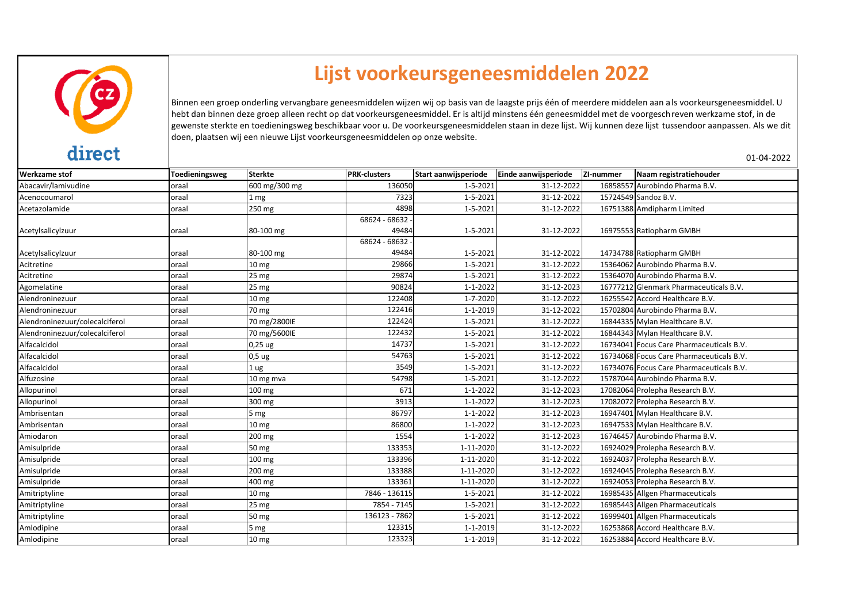

## **Lijst voorkeursgeneesmiddelen 2022**

Binnen een groep onderling vervangbare geneesmiddelen wijzen wij op basis van de laagste prijs één of meerdere middelen aan als voorkeursgeneesmiddel. U hebt dan binnen deze groep alleen recht op dat voorkeursgeneesmiddel. Er is altijd minstens één geneesmiddel met de voorgeschreven werkzame stof, in de gewenste sterkte en toedieningsweg beschikbaar voor u. De voorkeursgeneesmiddelen staan in deze lijst. Wij kunnen deze lijst tussendoor aanpassen. Als we dit doen, plaatsen wij een nieuwe Lijst voorkeursgeneesmiddelen op onze website.

01-04-2022

| <b>Werkzame stof</b>           | Toedieningsweg | <b>Sterkte</b>   | <b>PRK-clusters</b> | Start aanwijsperiode | Einde aanwijsperiode | ZI-nummer | Naam registratiehouder                   |
|--------------------------------|----------------|------------------|---------------------|----------------------|----------------------|-----------|------------------------------------------|
| Abacavir/lamivudine            | oraal          | 600 mg/300 mg    | 136050              | $1 - 5 - 2021$       | 31-12-2022           |           | 16858557 Aurobindo Pharma B.V.           |
| Acenocoumarol                  | oraal          | 1 mg             | 7323                | $1 - 5 - 2021$       | 31-12-2022           |           | 15724549 Sandoz B.V.                     |
| Acetazolamide                  | oraal          | 250 mg           | 4898                | $1 - 5 - 2021$       | 31-12-2022           |           | 16751388 Amdipharm Limited               |
|                                |                |                  | 68624 - 68632       |                      |                      |           |                                          |
| Acetylsalicylzuur              | oraal          | 80-100 mg        | 49484               | 1-5-2021             | 31-12-2022           |           | 16975553 Ratiopharm GMBH                 |
|                                |                |                  | 68624 - 68632       |                      |                      |           |                                          |
| Acetylsalicylzuur              | oraal          | 80-100 mg        | 49484               | 1-5-2021             | 31-12-2022           |           | 14734788 Ratiopharm GMBH                 |
| Acitretine                     | oraal          | 10 mg            | 29866               | $1 - 5 - 2021$       | 31-12-2022           |           | 15364062 Aurobindo Pharma B.V.           |
| Acitretine                     | oraal          | 25 mg            | 29874               | 1-5-2021             | 31-12-2022           |           | 15364070 Aurobindo Pharma B.V.           |
| Agomelatine                    | oraal          | 25 mg            | 90824               | $1 - 1 - 2022$       | 31-12-2023           |           | 16777212 Glenmark Pharmaceuticals B.V.   |
| Alendroninezuur                | oraal          | 10 <sub>mg</sub> | 122408              | 1-7-2020             | 31-12-2022           |           | 16255542 Accord Healthcare B.V.          |
| Alendroninezuur                | oraal          | 70 mg            | 122416              | $1 - 1 - 2019$       | 31-12-2022           |           | 15702804 Aurobindo Pharma B.V.           |
| Alendroninezuur/colecalciferol | oraal          | 70 mg/2800IE     | 122424              | $1 - 5 - 2021$       | 31-12-2022           |           | 16844335 Mylan Healthcare B.V.           |
| Alendroninezuur/colecalciferol | oraal          | 70 mg/5600IE     | 122432              | $1 - 5 - 2021$       | 31-12-2022           |           | 16844343 Mylan Healthcare B.V.           |
| Alfacalcidol                   | oraal          | $0,25$ ug        | 14737               | $1 - 5 - 2021$       | 31-12-2022           |           | 16734041 Focus Care Pharmaceuticals B.V. |
| Alfacalcidol                   | oraal          | $0,5$ ug         | 54763               | $1 - 5 - 2021$       | 31-12-2022           |           | 16734068 Focus Care Pharmaceuticals B.V. |
| Alfacalcidol                   | oraal          | 1 ug             | 3549                | $1 - 5 - 2021$       | 31-12-2022           |           | 16734076 Focus Care Pharmaceuticals B.V. |
| Alfuzosine                     | oraal          | 10 mg mva        | 54798               | $1 - 5 - 2021$       | 31-12-2022           |           | 15787044 Aurobindo Pharma B.V.           |
| Allopurinol                    | oraal          | 100 mg           | 671                 | $1 - 1 - 2022$       | 31-12-2023           |           | 17082064 Prolepha Research B.V.          |
| Allopurinol                    | oraal          | 300 mg           | 3913                | $1 - 1 - 2022$       | 31-12-2023           |           | 17082072 Prolepha Research B.V.          |
| Ambrisentan                    | oraal          | 5 mg             | 86797               | $1 - 1 - 2022$       | 31-12-2023           |           | 16947401 Mylan Healthcare B.V.           |
| Ambrisentan                    | oraal          | 10 <sub>mg</sub> | 86800               | $1 - 1 - 2022$       | 31-12-2023           |           | 16947533 Mylan Healthcare B.V.           |
| Amiodaron                      | oraal          | 200 mg           | 1554                | $1 - 1 - 2022$       | 31-12-2023           |           | 16746457 Aurobindo Pharma B.V.           |
| Amisulpride                    | oraal          | 50 mg            | 133353              | 1-11-2020            | 31-12-2022           |           | 16924029 Prolepha Research B.V.          |
| Amisulpride                    | oraal          | 100 mg           | 133396              | 1-11-2020            | 31-12-2022           |           | 16924037 Prolepha Research B.V.          |
| Amisulpride                    | oraal          | 200 mg           | 133388              | 1-11-2020            | 31-12-2022           |           | 16924045 Prolepha Research B.V.          |
| Amisulpride                    | oraal          | 400 mg           | 133361              | 1-11-2020            | 31-12-2022           |           | 16924053 Prolepha Research B.V.          |
| Amitriptyline                  | oraal          | 10 <sub>mg</sub> | 7846 - 136115       | $1 - 5 - 2021$       | 31-12-2022           |           | 16985435 Allgen Pharmaceuticals          |
| Amitriptyline                  | oraal          | 25 mg            | 7854 - 7145         | $1 - 5 - 2021$       | 31-12-2022           |           | 16985443 Allgen Pharmaceuticals          |
| Amitriptyline                  | oraal          | 50 mg            | 136123 - 7862       | $1 - 5 - 2021$       | 31-12-2022           |           | 16999401 Allgen Pharmaceuticals          |
| Amlodipine                     | oraal          | 5 mg             | 123315              | $1 - 1 - 2019$       | 31-12-2022           |           | 16253868 Accord Healthcare B.V.          |
| Amlodipine                     | oraal          | 10 mg            | 123323              | 1-1-2019             | 31-12-2022           |           | 16253884 Accord Healthcare B.V.          |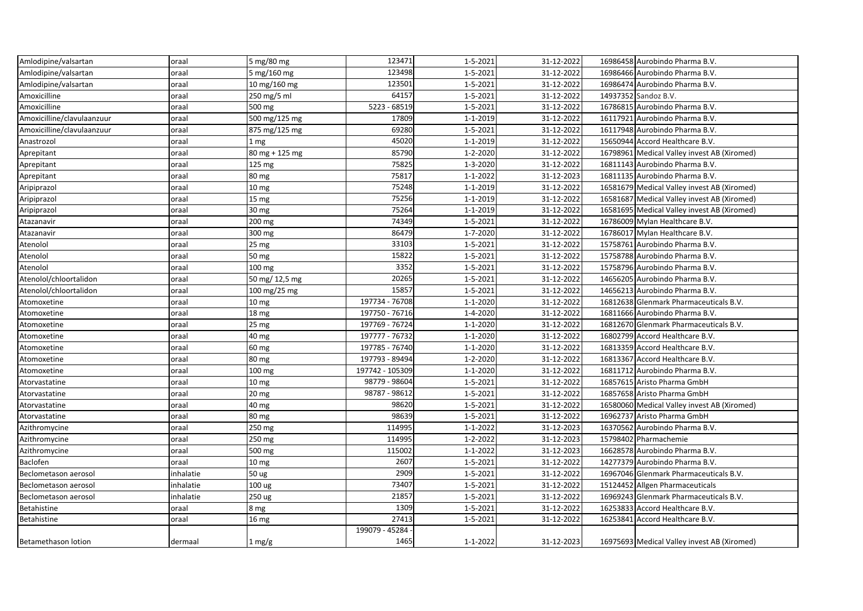| Amlodipine/valsartan       | oraal     | 5 mg/80 mg          | 123471          | 1-5-2021       | 31-12-2022 | 16986458 Aurobindo Pharma B.V.              |
|----------------------------|-----------|---------------------|-----------------|----------------|------------|---------------------------------------------|
| Amlodipine/valsartan       | oraal     | 5 mg/160 mg         | 123498          | 1-5-2021       | 31-12-2022 | 16986466 Aurobindo Pharma B.V.              |
| Amlodipine/valsartan       | oraal     | 10 mg/160 mg        | 123501          | 1-5-2021       | 31-12-2022 | 16986474 Aurobindo Pharma B.V.              |
| Amoxicilline               | oraal     | 250 mg/5 ml         | 64157           | 1-5-2021       | 31-12-2022 | 14937352 Sandoz B.V.                        |
| Amoxicilline               | oraal     | 500 mg              | 5223 - 68519    | 1-5-2021       | 31-12-2022 | 16786815 Aurobindo Pharma B.V.              |
| Amoxicilline/clavulaanzuur | oraal     | 500 mg/125 mg       | 17809           | 1-1-2019       | 31-12-2022 | 16117921 Aurobindo Pharma B.V.              |
| Amoxicilline/clavulaanzuur | oraal     | 875 mg/125 mg       | 69280           | 1-5-2021       | 31-12-2022 | 16117948 Aurobindo Pharma B.V.              |
| Anastrozol                 | oraal     | 1 mg                | 45020           | $1 - 1 - 2019$ | 31-12-2022 | 15650944 Accord Healthcare B.V.             |
| Aprepitant                 | oraal     | 80 mg + 125 mg      | 85790           | 1-2-2020       | 31-12-2022 | 16798961 Medical Valley invest AB (Xiromed) |
| Aprepitant                 | oraal     | 125 mg              | 75825           | 1-3-2020       | 31-12-2022 | 16811143 Aurobindo Pharma B.V.              |
| Aprepitant                 | oraal     | 80 mg               | 75817           | $1 - 1 - 2022$ | 31-12-2023 | 16811135 Aurobindo Pharma B.V.              |
| Aripiprazol                | oraal     | 10 <sub>mg</sub>    | 75248           | 1-1-2019       | 31-12-2022 | 16581679 Medical Valley invest AB (Xiromed) |
| Aripiprazol                | oraal     | 15 mg               | 75256           | 1-1-2019       | 31-12-2022 | 16581687 Medical Valley invest AB (Xiromed) |
| Aripiprazol                | oraal     | 30 mg               | 75264           | 1-1-2019       | 31-12-2022 | 16581695 Medical Valley invest AB (Xiromed) |
| Atazanavir                 | oraal     | 200 mg              | 74349           | 1-5-2021       | 31-12-2022 | 16786009 Mylan Healthcare B.V.              |
| Atazanavir                 | oraal     | 300 mg              | 86479           | 1-7-2020       | 31-12-2022 | 16786017 Mylan Healthcare B.V.              |
| Atenolol                   | oraal     | 25 <sub>mg</sub>    | 33103           | $1 - 5 - 2021$ | 31-12-2022 | 15758761 Aurobindo Pharma B.V.              |
| Atenolol                   | oraal     | 50 mg               | 15822           | 1-5-2021       | 31-12-2022 | 15758788 Aurobindo Pharma B.V.              |
| Atenolol                   | oraal     | 100 mg              | 3352            | 1-5-2021       | 31-12-2022 | 15758796 Aurobindo Pharma B.V.              |
| Atenolol/chloortalidon     | oraal     | 50 mg/ 12,5 mg      | 20265           | 1-5-2021       | 31-12-2022 | 14656205 Aurobindo Pharma B.V.              |
| Atenolol/chloortalidon     | oraal     | 100 mg/25 mg        | 15857           | 1-5-2021       | 31-12-2022 | 14656213 Aurobindo Pharma B.V.              |
| Atomoxetine                | oraal     | $10 \, \text{mg}$   | 197734 - 76708  | 1-1-2020       | 31-12-2022 | 16812638 Glenmark Pharmaceuticals B.V.      |
| Atomoxetine                | oraal     | 18 mg               | 197750 - 76716  | 1-4-2020       | 31-12-2022 | 16811666 Aurobindo Pharma B.V.              |
| Atomoxetine                | oraal     | 25 mg               | 197769 - 76724  | 1-1-2020       | 31-12-2022 | 16812670 Glenmark Pharmaceuticals B.V.      |
| Atomoxetine                | oraal     | 40 mg               | 197777 - 76732  | 1-1-2020       | 31-12-2022 | 16802799 Accord Healthcare B.V.             |
| Atomoxetine                | oraal     | 60 mg               | 197785 - 76740  | 1-1-2020       | 31-12-2022 | 16813359 Accord Healthcare B.V.             |
| Atomoxetine                | oraal     | 80 mg               | 197793 - 89494  | 1-2-2020       | 31-12-2022 | 16813367 Accord Healthcare B.V.             |
| Atomoxetine                | oraal     | 100 mg              | 197742 - 105309 | $1 - 1 - 2020$ | 31-12-2022 | 16811712 Aurobindo Pharma B.V.              |
| Atorvastatine              | oraal     | 10 <sub>mg</sub>    | 98779 - 98604   | 1-5-2021       | 31-12-2022 | 16857615 Aristo Pharma GmbH                 |
| Atorvastatine              | oraal     | 20 mg               | 98787 - 98612   | 1-5-2021       | 31-12-2022 | 16857658 Aristo Pharma GmbH                 |
| Atorvastatine              | oraal     | 40 mg               | 98620           | 1-5-2021       | 31-12-2022 | 16580060 Medical Valley invest AB (Xiromed) |
| Atorvastatine              | oraal     | 80 mg               | 98639           | 1-5-2021       | 31-12-2022 | 16962737 Aristo Pharma GmbH                 |
| Azithromycine              | oraal     | 250 mg              | 114995          | 1-1-2022       | 31-12-2023 | 16370562 Aurobindo Pharma B.V.              |
| Azithromycine              | oraal     | 250 mg              | 114995          | 1-2-2022       | 31-12-2023 | 15798402 Pharmachemie                       |
| Azithromycine              | oraal     | 500 mg              | 115002          | $1 - 1 - 2022$ | 31-12-2023 | 16628578 Aurobindo Pharma B.V.              |
| Baclofen                   | oraal     | $10 \text{ mg}$     | 2607            | 1-5-2021       | 31-12-2022 | 14277379 Aurobindo Pharma B.V.              |
| Beclometason aerosol       | inhalatie | 50 ug               | 2909            | $1 - 5 - 2021$ | 31-12-2022 | 16967046 Glenmark Pharmaceuticals B.V.      |
| Beclometason aerosol       | inhalatie | 100 ug              | 73407           | 1-5-2021       | 31-12-2022 | 15124452 Allgen Pharmaceuticals             |
| Beclometason aerosol       | inhalatie | 250 ug              | 21857           | 1-5-2021       | 31-12-2022 | 16969243 Glenmark Pharmaceuticals B.V.      |
| Betahistine                | oraal     | 8 mg                | 1309            | 1-5-2021       | 31-12-2022 | 16253833 Accord Healthcare B.V.             |
| Betahistine                | oraal     | 16 <sub>mg</sub>    | 27413           | 1-5-2021       | 31-12-2022 | 16253841 Accord Healthcare B.V.             |
|                            |           |                     | 199079 - 45284  |                |            |                                             |
| Betamethason lotion        | dermaal   | $1 \,\mathrm{mg/g}$ | 1465            | 1-1-2022       | 31-12-2023 | 16975693 Medical Valley invest AB (Xiromed) |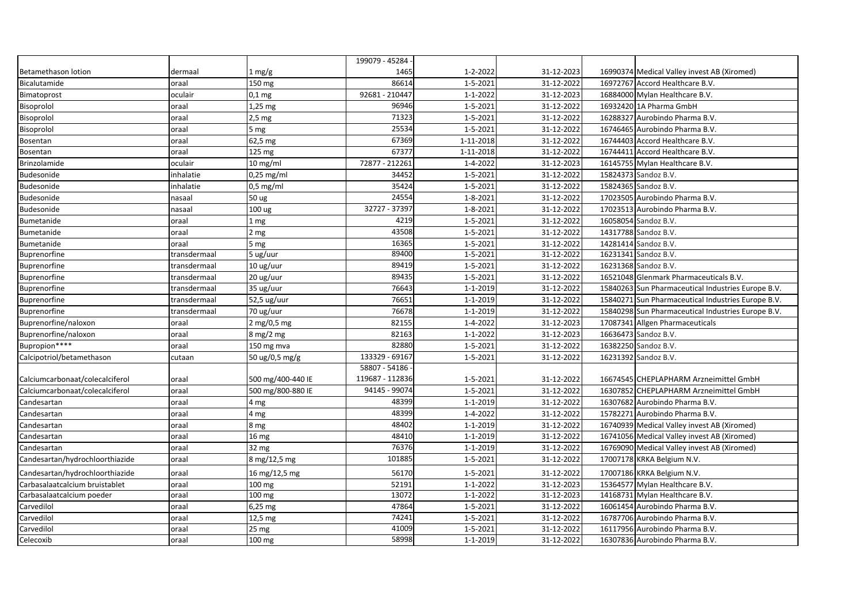|                                 |              |                     | 199079 - 45284 - |                |            |                                                    |
|---------------------------------|--------------|---------------------|------------------|----------------|------------|----------------------------------------------------|
| Betamethason lotion             | dermaal      | $1 \text{ mg/g}$    | 1465             | 1-2-2022       | 31-12-2023 | 16990374 Medical Valley invest AB (Xiromed)        |
| Bicalutamide                    | oraal        | 150 mg              | 86614            | 1-5-2021       | 31-12-2022 | 16972767 Accord Healthcare B.V.                    |
| Bimatoprost                     | oculair      | $0,1$ mg            | 92681 - 210447   | 1-1-2022       | 31-12-2023 | 16884000 Mylan Healthcare B.V.                     |
| Bisoprolol                      | oraal        | 1,25 mg             | 96946            | 1-5-2021       | 31-12-2022 | 16932420 1A Pharma GmbH                            |
| Bisoprolol                      | oraal        | $2,5$ mg            | 71323            | 1-5-2021       | 31-12-2022 | 16288327 Aurobindo Pharma B.V.                     |
| Bisoprolol                      | oraal        | 5 mg                | 25534            | 1-5-2021       | 31-12-2022 | 16746465 Aurobindo Pharma B.V.                     |
| Bosentan                        | oraal        | 62,5 mg             | 67369            | 1-11-2018      | 31-12-2022 | 16744403 Accord Healthcare B.V.                    |
| Bosentan                        | oraal        | 125 mg              | 67377            | 1-11-2018      | 31-12-2022 | 16744411 Accord Healthcare B.V.                    |
| <b>Brinzolamide</b>             | oculair      | 10 mg/ml            | 72877 - 212261   | 1-4-2022       | 31-12-2023 | 16145755 Mylan Healthcare B.V.                     |
| Budesonide                      | inhalatie    | $0,25$ mg/ml        | 34452            | 1-5-2021       | 31-12-2022 | 15824373 Sandoz B.V.                               |
| Budesonide                      | inhalatie    | $0,5$ mg/ml         | 35424            | $1 - 5 - 2021$ | 31-12-2022 | 15824365 Sandoz B.V.                               |
| Budesonide                      | nasaal       | 50 ug               | 24554            | 1-8-2021       | 31-12-2022 | 17023505 Aurobindo Pharma B.V.                     |
| Budesonide                      | nasaal       | 100 ug              | 32727 - 37397    | 1-8-2021       | 31-12-2022 | 17023513 Aurobindo Pharma B.V.                     |
| Bumetanide                      | oraal        | 1 mg                | 4219             | 1-5-2021       | 31-12-2022 | 16058054 Sandoz B.V.                               |
| Bumetanide                      | oraal        | 2 mg                | 43508            | 1-5-2021       | 31-12-2022 | 14317788 Sandoz B.V.                               |
| Bumetanide                      | oraal        | 5 mg                | 16365            | $1 - 5 - 2021$ | 31-12-2022 | 14281414 Sandoz B.V.                               |
| Buprenorfine                    | transdermaal | 5 ug/uur            | 89400            | 1-5-2021       | 31-12-2022 | 16231341 Sandoz B.V.                               |
| Buprenorfine                    | transdermaal | 10 ug/uur           | 89419            | 1-5-2021       | 31-12-2022 | 16231368 Sandoz B.V.                               |
| Buprenorfine                    | transdermaal | 20 ug/uur           | 89435            | 1-5-2021       | 31-12-2022 | 16521048 Glenmark Pharmaceuticals B.V.             |
| Buprenorfine                    | transdermaal | 35 ug/uur           | 76643            | 1-1-2019       | 31-12-2022 | 15840263 Sun Pharmaceutical Industries Europe B.V. |
| Buprenorfine                    | transdermaal | 52,5 ug/uur         | 76651            | 1-1-2019       | 31-12-2022 | 15840271 Sun Pharmaceutical Industries Europe B.V. |
| Buprenorfine                    | transdermaal | 70 ug/uur           | 76678            | $1 - 1 - 2019$ | 31-12-2022 | 15840298 Sun Pharmaceutical Industries Europe B.V. |
| Buprenorfine/naloxon            | oraal        | $2$ mg/0,5 mg       | 82155            | 1-4-2022       | 31-12-2023 | 17087341 Allgen Pharmaceuticals                    |
| Buprenorfine/naloxon            | oraal        | 8 mg/2 mg           | 82163            | $1 - 1 - 2022$ | 31-12-2023 | 16636473 Sandoz B.V.                               |
| Bupropion****                   | oraal        | 150 mg mva          | 82880            | 1-5-2021       | 31-12-2022 | 16382250 Sandoz B.V.                               |
| Calcipotriol/betamethason       | cutaan       | 50 $\mu$ g/0,5 mg/g | 133329 - 69167   | 1-5-2021       | 31-12-2022 | 16231392 Sandoz B.V.                               |
|                                 |              |                     | 58807 - 54186    |                |            |                                                    |
| Calciumcarbonaat/colecalciferol | oraal        | 500 mg/400-440 IE   | 119687 - 112836  | 1-5-2021       | 31-12-2022 | 16674545 CHEPLAPHARM Arzneimittel GmbH             |
| Calciumcarbonaat/colecalciferol | oraal        | 500 mg/800-880 IE   | 94145 - 99074    | 1-5-2021       | 31-12-2022 | 16307852 CHEPLAPHARM Arzneimittel GmbH             |
| Candesartan                     | oraal        | 4 mg                | 48399            | 1-1-2019       | 31-12-2022 | 16307682 Aurobindo Pharma B.V.                     |
| Candesartan                     | oraal        | 4 mg                | 48399            | 1-4-2022       | 31-12-2022 | 15782271 Aurobindo Pharma B.V.                     |
| Candesartan                     | oraal        | 8 mg                | 48402            | 1-1-2019       | 31-12-2022 | 16740939 Medical Valley invest AB (Xiromed)        |
| Candesartan                     | oraal        | 16 mg               | 48410            | 1-1-2019       | 31-12-2022 | 16741056 Medical Valley invest AB (Xiromed)        |
| Candesartan                     | oraal        | 32 mg               | 76376            | 1-1-2019       | 31-12-2022 | 16769090 Medical Valley invest AB (Xiromed)        |
| Candesartan/hydrochloorthiazide | oraal        | 8 mg/12,5 mg        | 101885           | $1 - 5 - 2021$ | 31-12-2022 | 17007178 KRKA Belgium N.V.                         |
| Candesartan/hydrochloorthiazide | oraal        | 16 mg/12,5 mg       | 56170            | 1-5-2021       | 31-12-2022 | 17007186 KRKA Belgium N.V.                         |
| Carbasalaatcalcium bruistablet  | oraal        | 100 mg              | 52191            | $1 - 1 - 2022$ | 31-12-2023 | 15364577 Mylan Healthcare B.V.                     |
| Carbasalaatcalcium poeder       | oraal        | 100 mg              | 13072            | $1 - 1 - 2022$ | 31-12-2023 | 14168731 Mylan Healthcare B.V.                     |
| Carvedilol                      | oraal        | 6,25 mg             | 47864            | 1-5-2021       | 31-12-2022 | 16061454 Aurobindo Pharma B.V.                     |
| Carvedilol                      | oraal        | 12,5 mg             | 74241            | $1 - 5 - 2021$ | 31-12-2022 | 16787706 Aurobindo Pharma B.V.                     |
| Carvedilol                      | oraal        | 25 <sub>mg</sub>    | 41009            | 1-5-2021       | 31-12-2022 | 16117956 Aurobindo Pharma B.V.                     |
| Celecoxib                       | oraal        | 100 mg              | 58998            | $1 - 1 - 2019$ | 31-12-2022 | 16307836 Aurobindo Pharma B.V.                     |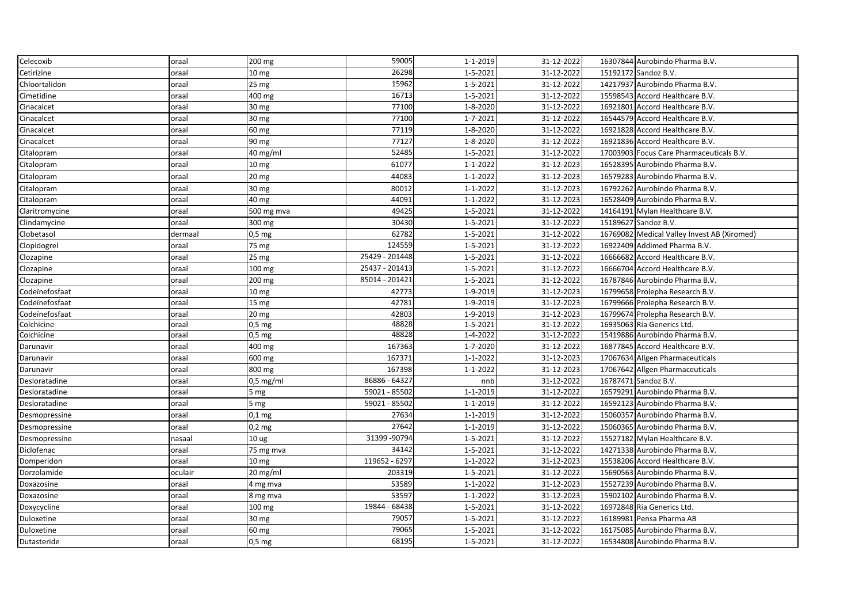| Celecoxib      | oraal   | 200 mg             | 59005          | 1-1-2019       | 31-12-2022 | 16307844 Aurobindo Pharma B.V.              |
|----------------|---------|--------------------|----------------|----------------|------------|---------------------------------------------|
| Cetirizine     | oraal   | 10 mg              | 26298          | 1-5-2021       | 31-12-2022 | 15192172 Sandoz B.V.                        |
| Chloortalidon  | oraal   | 25 mg              | 15962          | 1-5-2021       | 31-12-2022 | 14217937 Aurobindo Pharma B.V.              |
| Cimetidine     | oraal   | 400 mg             | 16713          | 1-5-2021       | 31-12-2022 | 15598543 Accord Healthcare B.V.             |
| Cinacalcet     | oraal   | 30 mg              | 77100          | 1-8-2020       | 31-12-2022 | 16921801 Accord Healthcare B.V.             |
| Cinacalcet     | oraal   | 30 mg              | 77100          | 1-7-2021       | 31-12-2022 | 16544579 Accord Healthcare B.V.             |
| Cinacalcet     | oraal   | 60 mg              | 77119          | 1-8-2020       | 31-12-2022 | 16921828 Accord Healthcare B.V.             |
| Cinacalcet     | oraal   | 90 mg              | 77127          | 1-8-2020       | 31-12-2022 | 16921836 Accord Healthcare B.V.             |
| Citalopram     | oraal   | $40$ mg/ml         | 52485          | $1 - 5 - 2021$ | 31-12-2022 | 17003903 Focus Care Pharmaceuticals B.V.    |
| Citalopram     | oraal   | 10 <sub>mg</sub>   | 61077          | $1 - 1 - 2022$ | 31-12-2023 | 16528395 Aurobindo Pharma B.V.              |
| Citalopram     | oraal   | 20 <sub>mg</sub>   | 44083          | $1 - 1 - 2022$ | 31-12-2023 | 16579283 Aurobindo Pharma B.V.              |
| Citalopram     | oraal   | 30 mg              | 80012          | $1 - 1 - 2022$ | 31-12-2023 | 16792262 Aurobindo Pharma B.V.              |
| Citalopram     | oraal   | 40 mg              | 44091          | $1 - 1 - 2022$ | 31-12-2023 | 16528409 Aurobindo Pharma B.V.              |
| Claritromycine | oraal   | 500 mg mva         | 49425          | 1-5-2021       | 31-12-2022 | 14164191 Mylan Healthcare B.V.              |
| Clindamycine   | oraal   | 300 mg             | 30430          | 1-5-2021       | 31-12-2022 | 15189627 Sandoz B.V.                        |
| Clobetasol     | dermaal | $0,5$ mg           | 62782          | 1-5-2021       | 31-12-2022 | 16769082 Medical Valley Invest AB (Xiromed) |
| Clopidogrel    | oraal   | 75 mg              | 124559         | 1-5-2021       | 31-12-2022 | 16922409 Addimed Pharma B.V.                |
| Clozapine      | oraal   | 25 mg              | 25429 - 201448 | $1 - 5 - 2021$ | 31-12-2022 | 16666682 Accord Healthcare B.V.             |
| Clozapine      | oraal   | 100 mg             | 25437 - 201413 | 1-5-2021       | 31-12-2022 | 16666704 Accord Healthcare B.V.             |
| Clozapine      | oraal   | 200 mg             | 85014 - 201421 | 1-5-2021       | 31-12-2022 | 16787846 Aurobindo Pharma B.V.              |
| Codeïnefosfaat | oraal   | $10 \text{ mg}$    | 42773          | 1-9-2019       | 31-12-2023 | 16799658 Prolepha Research B.V.             |
| Codeïnefosfaat | oraal   | 15 mg              | 42781          | 1-9-2019       | 31-12-2023 | 16799666 Prolepha Research B.V.             |
| Codeïnefosfaat | oraal   | 20 <sub>mg</sub>   | 42803          | 1-9-2019       | 31-12-2023 | 16799674 Prolepha Research B.V.             |
| Colchicine     | oraal   | $0,5 \, \text{mg}$ | 48828          | 1-5-2021       | 31-12-2022 | 16935063 Ria Generics Ltd.                  |
| Colchicine     | oraal   | $0,5$ mg           | 48828          | 1-4-2022       | 31-12-2022 | 15419886 Aurobindo Pharma B.V.              |
| Darunavir      | oraal   | 400 mg             | 167363         | 1-7-2020       | 31-12-2022 | 16877845 Accord Healthcare B.V.             |
| Darunavir      | oraal   | 600 mg             | 167371         | $1 - 1 - 2022$ | 31-12-2023 | 17067634 Allgen Pharmaceuticals             |
| Darunavir      | oraal   | 800 mg             | 167398         | 1-1-2022       | 31-12-2023 | 17067642 Allgen Pharmaceuticals             |
| Desloratadine  | oraal   | $0,5$ mg/ml        | 86886 - 64327  | nnb            | 31-12-2022 | 16787471 Sandoz B.V.                        |
| Desloratadine  | oraal   | 5 mg               | 59021 - 85502  | $1 - 1 - 2019$ | 31-12-2022 | 16579291 Aurobindo Pharma B.V.              |
| Desloratadine  | oraal   | 5 mg               | 59021 - 85502  | $1 - 1 - 2019$ | 31-12-2022 | 16592123 Aurobindo Pharma B.V.              |
| Desmopressine  | oraal   | $0,1$ mg           | 27634          | 1-1-2019       | 31-12-2022 | 15060357 Aurobindo Pharma B.V.              |
| Desmopressine  | oraal   | $0,2$ mg           | 27642          | 1-1-2019       | 31-12-2022 | 15060365 Aurobindo Pharma B.V.              |
| Desmopressine  | nasaal  | 10 <sub>ug</sub>   | 31399 - 90794  | 1-5-2021       | 31-12-2022 | 15527182 Mylan Healthcare B.V.              |
| Diclofenac     | oraal   | 75 mg mva          | 34142          | 1-5-2021       | 31-12-2022 | 14271338 Aurobindo Pharma B.V.              |
| Domperidon     | oraal   | 10 mg              | 119652 - 6297  | 1-1-2022       | 31-12-2023 | 15538206 Accord Healthcare B.V.             |
| Dorzolamide    | oculair | 20 mg/ml           | 203319         | 1-5-2021       | 31-12-2022 | 15690563 Aurobindo Pharma B.V.              |
| Doxazosine     | oraal   | 4 mg mva           | 53589          | $1 - 1 - 2022$ | 31-12-2023 | 15527239 Aurobindo Pharma B.V.              |
| Doxazosine     | oraal   | 8 mg mva           | 53597          | $1 - 1 - 2022$ | 31-12-2023 | 15902102 Aurobindo Pharma B.V.              |
| Doxycycline    | oraal   | 100 mg             | 19844 - 68438  | 1-5-2021       | 31-12-2022 | 16972848 Ria Generics Ltd.                  |
| Duloxetine     | oraal   | 30 mg              | 79057          | 1-5-2021       | 31-12-2022 | 16189981 Pensa Pharma AB                    |
| Duloxetine     | oraal   | 60 mg              | 79065          | 1-5-2021       | 31-12-2022 | 16175085 Aurobindo Pharma B.V.              |
| Dutasteride    | oraal   | $0,5$ mg           | 68195          | 1-5-2021       | 31-12-2022 | 16534808 Aurobindo Pharma B.V.              |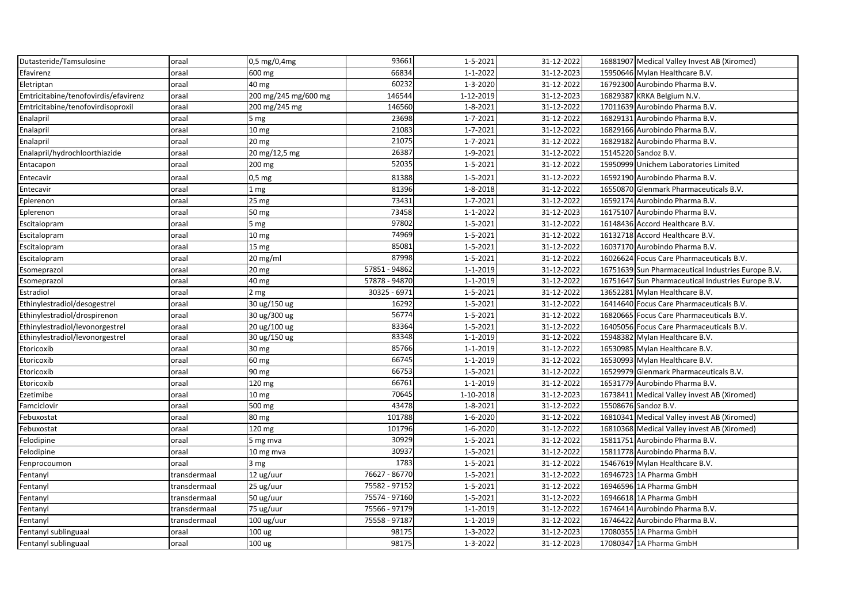| Dutasteride/Tamsulosine              | oraal        | 0,5 mg/0,4mg         | 93661         | $1 - 5 - 2021$ | 31-12-2022 | 16881907 Medical Valley Invest AB (Xiromed)        |  |
|--------------------------------------|--------------|----------------------|---------------|----------------|------------|----------------------------------------------------|--|
| Efavirenz                            | oraal        | 600 mg               | 66834         | $1 - 1 - 2022$ | 31-12-2023 | 15950646 Mylan Healthcare B.V.                     |  |
| Eletriptan                           | oraal        | 40 mg                | 60232         | 1-3-2020       | 31-12-2022 | 16792300 Aurobindo Pharma B.V.                     |  |
| Emtricitabine/tenofovirdis/efavirenz | oraal        | 200 mg/245 mg/600 mg | 146544        | 1-12-2019      | 31-12-2023 | 16829387 KRKA Belgium N.V.                         |  |
| Emtricitabine/tenofovirdisoproxil    | oraal        | 200 mg/245 mg        | 146560        | 1-8-2021       | 31-12-2022 | 17011639 Aurobindo Pharma B.V.                     |  |
| Enalapril                            | oraal        | 5 mg                 | 23698         | 1-7-2021       | 31-12-2022 | 16829131 Aurobindo Pharma B.V.                     |  |
| Enalapril                            | oraal        | 10 mg                | 21083         | 1-7-2021       | 31-12-2022 | 16829166 Aurobindo Pharma B.V.                     |  |
| Enalapril                            | oraal        | 20 mg                | 21075         | 1-7-2021       | 31-12-2022 | 16829182 Aurobindo Pharma B.V.                     |  |
| Enalapril/hydrochloorthiazide        | oraal        | 20 mg/12,5 mg        | 26387         | 1-9-2021       | 31-12-2022 | 15145220 Sandoz B.V.                               |  |
| Entacapon                            | oraal        | 200 mg               | 52035         | 1-5-2021       | 31-12-2022 | 15950999 Unichem Laboratories Limited              |  |
| Entecavir                            | oraal        | $0,5$ mg             | 81388         | 1-5-2021       | 31-12-2022 | 16592190 Aurobindo Pharma B.V.                     |  |
| Entecavir                            | oraal        | 1 mg                 | 81396         | 1-8-2018       | 31-12-2022 | 16550870 Glenmark Pharmaceuticals B.V.             |  |
| Eplerenon                            | oraal        | 25 mg                | 73431         | 1-7-2021       | 31-12-2022 | 16592174 Aurobindo Pharma B.V.                     |  |
| Eplerenon                            | oraal        | 50 mg                | 73458         | $1 - 1 - 2022$ | 31-12-2023 | 16175107 Aurobindo Pharma B.V.                     |  |
| Escitalopram                         | oraal        | 5 mg                 | 97802         | 1-5-2021       | 31-12-2022 | 16148436 Accord Healthcare B.V.                    |  |
| Escitalopram                         | oraal        | 10 <sub>mg</sub>     | 74969         | 1-5-2021       | 31-12-2022 | 16132718 Accord Healthcare B.V.                    |  |
| Escitalopram                         | oraal        | 15 <sub>mg</sub>     | 85081         | 1-5-2021       | 31-12-2022 | 16037170 Aurobindo Pharma B.V.                     |  |
| Escitalopram                         | oraal        | $20$ mg/ml           | 87998         | 1-5-2021       | 31-12-2022 | 16026624 Focus Care Pharmaceuticals B.V.           |  |
| Esomeprazol                          | oraal        | 20 mg                | 57851 - 94862 | 1-1-2019       | 31-12-2022 | 16751639 Sun Pharmaceutical Industries Europe B.V. |  |
| Esomeprazol                          | oraal        | 40 mg                | 57878 - 94870 | $1 - 1 - 2019$ | 31-12-2022 | 16751647 Sun Pharmaceutical Industries Europe B.V. |  |
| Estradiol                            | oraal        | 2 mg                 | 30325 - 6971  | $1 - 5 - 2021$ | 31-12-2022 | 13652281 Mylan Healthcare B.V.                     |  |
| Ethinylestradiol/desogestrel         | oraal        | 30 ug/150 ug         | 16292         | 1-5-2021       | 31-12-2022 | 16414640 Focus Care Pharmaceuticals B.V.           |  |
| Ethinylestradiol/drospirenon         | oraal        | 30 ug/300 ug         | 56774         | 1-5-2021       | 31-12-2022 | 16820665 Focus Care Pharmaceuticals B.V.           |  |
| Ethinylestradiol/levonorgestrel      | oraal        | 20 ug/100 ug         | 83364         | 1-5-2021       | 31-12-2022 | 16405056 Focus Care Pharmaceuticals B.V.           |  |
| Ethinylestradiol/levonorgestrel      | oraal        | 30 ug/150 ug         | 83348         | $1 - 1 - 2019$ | 31-12-2022 | 15948382 Mylan Healthcare B.V.                     |  |
| Etoricoxib                           | oraal        | 30 mg                | 85766         | $1 - 1 - 2019$ | 31-12-2022 | 16530985 Mylan Healthcare B.V.                     |  |
| Etoricoxib                           | oraal        | 60 mg                | 66745         | $1 - 1 - 2019$ | 31-12-2022 | 16530993 Mylan Healthcare B.V.                     |  |
| Etoricoxib                           | oraal        | 90 mg                | 66753         | $1 - 5 - 2021$ | 31-12-2022 | 16529979 Glenmark Pharmaceuticals B.V.             |  |
| Etoricoxib                           | oraal        | 120 mg               | 66761         | $1 - 1 - 2019$ | 31-12-2022 | 16531779 Aurobindo Pharma B.V.                     |  |
| Ezetimibe                            | oraal        | 10 mg                | 70645         | 1-10-2018      | 31-12-2023 | 16738411 Medical Valley invest AB (Xiromed)        |  |
| Famciclovir                          | oraal        | 500 mg               | 43478         | $1 - 8 - 2021$ | 31-12-2022 | 15508676 Sandoz B.V.                               |  |
| Febuxostat                           | oraal        | 80 mg                | 101788        | 1-6-2020       | 31-12-2022 | 16810341 Medical Valley invest AB (Xiromed)        |  |
| Febuxostat                           | oraal        | 120 mg               | 101796        | $1 - 6 - 2020$ | 31-12-2022 | 16810368 Medical Valley invest AB (Xiromed)        |  |
| Felodipine                           | oraal        | 5 mg mva             | 30929         | $1 - 5 - 2021$ | 31-12-2022 | 15811751 Aurobindo Pharma B.V.                     |  |
| Felodipine                           | oraal        | 10 mg mva            | 30937         | $1 - 5 - 2021$ | 31-12-2022 | 15811778 Aurobindo Pharma B.V.                     |  |
| Fenprocoumon                         | oraal        | 3 mg                 | 1783          | $1 - 5 - 2021$ | 31-12-2022 | 15467619 Mylan Healthcare B.V.                     |  |
| Fentanyl                             | transdermaal | 12 ug/uur            | 76627 - 86770 | 1-5-2021       | 31-12-2022 | 16946723 1A Pharma GmbH                            |  |
| Fentanyl                             | transdermaal | 25 ug/uur            | 75582 - 97152 | 1-5-2021       | 31-12-2022 | 16946596 1A Pharma GmbH                            |  |
| Fentanyl                             | transdermaal | 50 ug/uur            | 75574 - 97160 | 1-5-2021       | 31-12-2022 | 16946618 1A Pharma GmbH                            |  |
| Fentanyl                             | transdermaal | 75 ug/uur            | 75566 - 97179 | $1 - 1 - 2019$ | 31-12-2022 | 16746414 Aurobindo Pharma B.V.                     |  |
| Fentanyl                             | transdermaal | 100 ug/uur           | 75558 - 97187 | 1-1-2019       | 31-12-2022 | 16746422 Aurobindo Pharma B.V.                     |  |
| Fentanyl sublinguaal                 | oraal        | 100 ug               | 98175         | 1-3-2022       | 31-12-2023 | 17080355 1A Pharma GmbH                            |  |
| Fentanyl sublinguaal                 | oraal        | 100 ug               | 98175         | $1 - 3 - 2022$ | 31-12-2023 | 17080347 1A Pharma GmbH                            |  |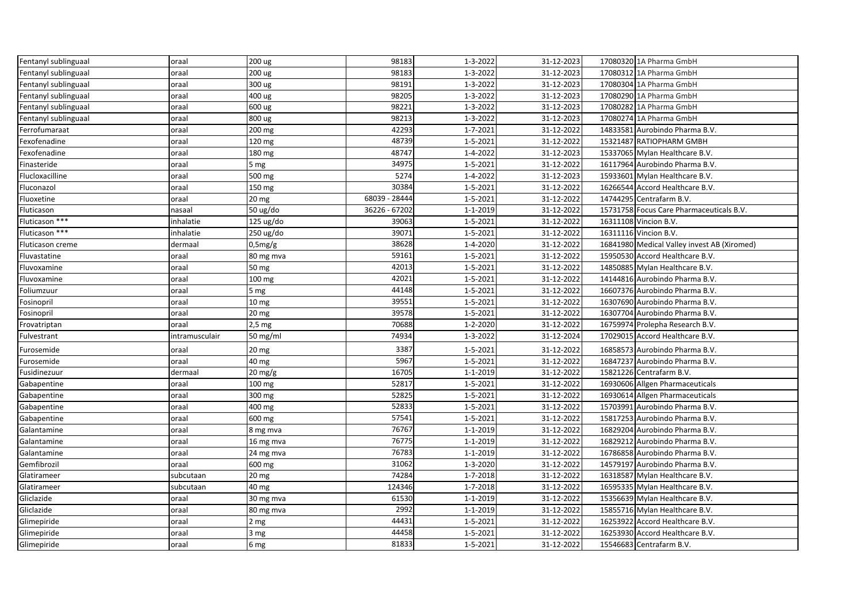| Fentanyl sublinguaal | oraal          | 200 ug           | 98183         | 1-3-2022       | 31-12-2023 | 17080320 1A Pharma GmbH                     |
|----------------------|----------------|------------------|---------------|----------------|------------|---------------------------------------------|
| Fentanyl sublinguaal | oraal          | 200 ug           | 98183         | 1-3-2022       | 31-12-2023 | 17080312 1A Pharma GmbH                     |
| Fentanyl sublinguaal | oraal          | 300 ug           | 98191         | 1-3-2022       | 31-12-2023 | 17080304 1A Pharma GmbH                     |
| Fentanyl sublinguaal | oraal          | 400 ug           | 98205         | 1-3-2022       | 31-12-2023 | 17080290 1A Pharma GmbH                     |
| Fentanyl sublinguaal | oraal          | 600 ug           | 98221         | 1-3-2022       | 31-12-2023 | 17080282 1A Pharma GmbH                     |
| Fentanyl sublinguaal | oraal          | 800 ug           | 98213         | 1-3-2022       | 31-12-2023 | 17080274 1A Pharma GmbH                     |
| Ferrofumaraat        | oraal          | 200 mg           | 42293         | 1-7-2021       | 31-12-2022 | 14833581 Aurobindo Pharma B.V.              |
| Fexofenadine         | oraal          | 120 mg           | 48739         | 1-5-2021       | 31-12-2022 | 15321487 RATIOPHARM GMBH                    |
| Fexofenadine         | oraal          | 180 mg           | 48747         | 1-4-2022       | 31-12-2023 | 15337065 Mylan Healthcare B.V.              |
| Finasteride          | oraal          | 5 mg             | 34975         | $1 - 5 - 2021$ | 31-12-2022 | 16117964 Aurobindo Pharma B.V.              |
| Flucloxacilline      | oraal          | 500 mg           | 5274          | 1-4-2022       | 31-12-2023 | 15933601 Mylan Healthcare B.V.              |
| Fluconazol           | oraal          | 150 mg           | 30384         | 1-5-2021       | 31-12-2022 | 16266544 Accord Healthcare B.V.             |
| Fluoxetine           | oraal          | 20 mg            | 68039 - 28444 | 1-5-2021       | 31-12-2022 | 14744295 Centrafarm B.V.                    |
| Fluticason           | nasaal         | 50 ug/do         | 36226 - 67202 | $1 - 1 - 2019$ | 31-12-2022 | 15731758 Focus Care Pharmaceuticals B.V.    |
| Fluticason ***       | inhalatie      | 125 ug/do        | 39063         | $1 - 5 - 2021$ | 31-12-2022 | 16311108 Vincion B.V.                       |
| Fluticason ***       | inhalatie      | 250 ug/do        | 39071         | 1-5-2021       | 31-12-2022 | 16311116 Vincion B.V.                       |
| Fluticason creme     | dermaal        | $0.5$ mg/g       | 38628         | 1-4-2020       | 31-12-2022 | 16841980 Medical Valley invest AB (Xiromed) |
| Fluvastatine         | oraal          | 80 mg mva        | 59161         | 1-5-2021       | 31-12-2022 | 15950530 Accord Healthcare B.V.             |
| Fluvoxamine          | oraal          | 50 mg            | 42013         | 1-5-2021       | 31-12-2022 | 14850885 Mylan Healthcare B.V.              |
| Fluvoxamine          | oraal          | 100 mg           | 42021         | $1 - 5 - 2021$ | 31-12-2022 | 14144816 Aurobindo Pharma B.V.              |
| Foliumzuur           | oraal          | 5 mg             | 44148         | 1-5-2021       | 31-12-2022 | 16607376 Aurobindo Pharma B.V.              |
| Fosinopril           | oraal          | 10 <sub>mg</sub> | 39551         | 1-5-2021       | 31-12-2022 | 16307690 Aurobindo Pharma B.V.              |
| Fosinopril           | oraal          | 20 mg            | 39578         | $1 - 5 - 2021$ | 31-12-2022 | 16307704 Aurobindo Pharma B.V.              |
| Frovatriptan         | oraal          | $2,5$ mg         | 70688         | 1-2-2020       | 31-12-2022 | 16759974 Prolepha Research B.V.             |
| Fulvestrant          | intramusculair | 50 mg/ml         | 74934         | 1-3-2022       | 31-12-2024 | 17029015 Accord Healthcare B.V.             |
| Furosemide           | oraal          | 20 mg            | 3387          | 1-5-2021       | 31-12-2022 | 16858573 Aurobindo Pharma B.V.              |
| Furosemide           | oraal          | 40 mg            | 5967          | 1-5-2021       | 31-12-2022 | 16847237 Aurobindo Pharma B.V.              |
| Fusidinezuur         | dermaal        | 20 mg/g          | 16705         | $1 - 1 - 2019$ | 31-12-2022 | 15821226 Centrafarm B.V.                    |
| Gabapentine          | oraal          | 100 mg           | 52817         | 1-5-2021       | 31-12-2022 | 16930606 Allgen Pharmaceuticals             |
| Gabapentine          | oraal          | 300 mg           | 52825         | $1 - 5 - 2021$ | 31-12-2022 | 16930614 Allgen Pharmaceuticals             |
| Gabapentine          | oraal          | 400 mg           | 52833         | $1 - 5 - 2021$ | 31-12-2022 | 15703991 Aurobindo Pharma B.V.              |
| Gabapentine          | oraal          | 600 mg           | 57541         | $1 - 5 - 2021$ | 31-12-2022 | 15817253 Aurobindo Pharma B.V.              |
| Galantamine          | oraal          | 8 mg mva         | 76767         | 1-1-2019       | 31-12-2022 | 16829204 Aurobindo Pharma B.V.              |
| Galantamine          | oraal          | 16 mg mva        | 76775         | 1-1-2019       | 31-12-2022 | 16829212 Aurobindo Pharma B.V.              |
| Galantamine          | oraal          | 24 mg mva        | 76783         | 1-1-2019       | 31-12-2022 | 16786858 Aurobindo Pharma B.V.              |
| Gemfibrozil          | oraal          | 600 mg           | 31062         | 1-3-2020       | 31-12-2022 | 14579197 Aurobindo Pharma B.V.              |
| Glatirameer          | subcutaan      | 20 mg            | 74284         | 1-7-2018       | 31-12-2022 | 16318587 Mylan Healthcare B.V.              |
| Glatirameer          | subcutaan      | 40 mg            | 124346        | 1-7-2018       | 31-12-2022 | 16595335 Mylan Healthcare B.V.              |
| Gliclazide           | oraal          | 30 mg mva        | 61530         | $1 - 1 - 2019$ | 31-12-2022 | 15356639 Mylan Healthcare B.V.              |
| Gliclazide           | oraal          | 80 mg mva        | 2992          | 1-1-2019       | 31-12-2022 | 15855716 Mylan Healthcare B.V.              |
| Glimepiride          | oraal          | 2 mg             | 44431         | 1-5-2021       | 31-12-2022 | 16253922 Accord Healthcare B.V.             |
| Glimepiride          | oraal          | 3 mg             | 44458         | $1 - 5 - 2021$ | 31-12-2022 | 16253930 Accord Healthcare B.V.             |
| Glimepiride          | oraal          | 6 mg             | 81833         | 1-5-2021       | 31-12-2022 | 15546683 Centrafarm B.V.                    |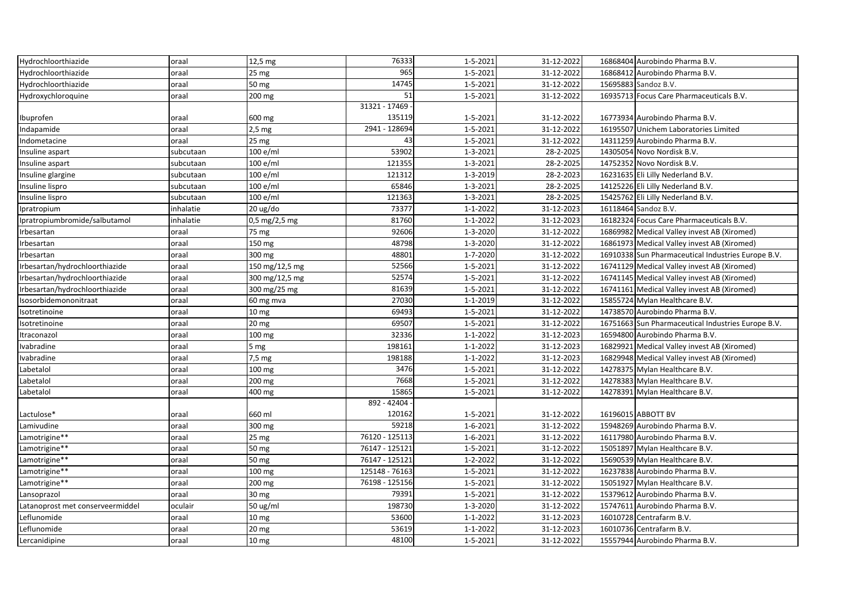| Hydrochloorthiazide              | oraal     | 12,5 mg          | 76333          | 1-5-2021       | 31-12-2022 | 16868404 Aurobindo Pharma B.V.                     |
|----------------------------------|-----------|------------------|----------------|----------------|------------|----------------------------------------------------|
| Hydrochloorthiazide              | oraal     | 25 <sub>mg</sub> | 965            | 1-5-2021       | 31-12-2022 | 16868412 Aurobindo Pharma B.V.                     |
| Hydrochloorthiazide              | oraal     | 50 mg            | 14745          | 1-5-2021       | 31-12-2022 | 15695883 Sandoz B.V.                               |
| Hydroxychloroquine               | oraal     | 200 mg           | 51             | $1 - 5 - 2021$ | 31-12-2022 | 16935713 Focus Care Pharmaceuticals B.V.           |
|                                  |           |                  | 31321 - 17469  |                |            |                                                    |
| Ibuprofen                        | oraal     | 600 mg           | 135119         | 1-5-2021       | 31-12-2022 | 16773934 Aurobindo Pharma B.V.                     |
| Indapamide                       | oraal     | $2,5$ mg         | 2941 - 128694  | 1-5-2021       | 31-12-2022 | 16195507 Unichem Laboratories Limited              |
| Indometacine                     | oraal     | 25 mg            | 43             | 1-5-2021       | 31-12-2022 | 14311259 Aurobindo Pharma B.V.                     |
| Insuline aspart                  | subcutaan | 100 e/ml         | 53902          | 1-3-2021       | 28-2-2025  | 14305054 Novo Nordisk B.V.                         |
| Insuline aspart                  | subcutaan | 100 e/ml         | 121355         | 1-3-2021       | 28-2-2025  | 14752352 Novo Nordisk B.V.                         |
| Insuline glargine                | subcutaan | 100 e/ml         | 121312         | 1-3-2019       | 28-2-2023  | 16231635 Eli Lilly Nederland B.V.                  |
| Insuline lispro                  | subcutaan | 100 e/ml         | 65846          | 1-3-2021       | 28-2-2025  | 14125226 Eli Lilly Nederland B.V.                  |
| Insuline lispro                  | subcutaan | 100 e/ml         | 121363         | 1-3-2021       | 28-2-2025  | 15425762 Eli Lilly Nederland B.V.                  |
| Ipratropium                      | inhalatie | 20 ug/do         | 73377          | $1 - 1 - 2022$ | 31-12-2023 | 16118464 Sandoz B.V.                               |
| Ipratropiumbromide/salbutamol    | inhalatie | 0,5 mg/2,5 mg    | 81760          | $1 - 1 - 2022$ | 31-12-2023 | 16182324 Focus Care Pharmaceuticals B.V.           |
| Irbesartan                       | oraal     | 75 mg            | 92606          | 1-3-2020       | 31-12-2022 | 16869982 Medical Valley invest AB (Xiromed)        |
| Irbesartan                       | oraal     | 150 mg           | 48798          | 1-3-2020       | 31-12-2022 | 16861973 Medical Valley invest AB (Xiromed)        |
| Irbesartan                       | oraal     | 300 mg           | 48801          | 1-7-2020       | 31-12-2022 | 16910338 Sun Pharmaceutical Industries Europe B.V. |
| Irbesartan/hydrochloorthiazide   | oraal     | 150 mg/12,5 mg   | 52566          | 1-5-2021       | 31-12-2022 | 16741129 Medical Valley invest AB (Xiromed)        |
| Irbesartan/hydrochloorthiazide   | oraal     | 300 mg/12,5 mg   | 52574          | 1-5-2021       | 31-12-2022 | 16741145 Medical Valley invest AB (Xiromed)        |
| Irbesartan/hydrochloorthiazide   | oraal     | 300 mg/25 mg     | 81639          | 1-5-2021       | 31-12-2022 | 16741161 Medical Valley invest AB (Xiromed)        |
| Isosorbidemononitraat            | oraal     | 60 mg mva        | 27030          | $1 - 1 - 2019$ | 31-12-2022 | 15855724 Mylan Healthcare B.V.                     |
| Isotretinoine                    | oraal     | 10 <sub>mg</sub> | 69493          | 1-5-2021       | 31-12-2022 | 14738570 Aurobindo Pharma B.V.                     |
| Isotretinoine                    | oraal     | 20 mg            | 69507          | $1 - 5 - 2021$ | 31-12-2022 | 16751663 Sun Pharmaceutical Industries Europe B.V. |
| Itraconazol                      | oraal     | 100 mg           | 32336          | $1 - 1 - 2022$ | 31-12-2023 | 16594800 Aurobindo Pharma B.V.                     |
| Ivabradine                       | oraal     | 5 mg             | 198161         | $1 - 1 - 2022$ | 31-12-2023 | 16829921 Medical Valley invest AB (Xiromed)        |
| Ivabradine                       | oraal     | 7,5 mg           | 198188         | 1-1-2022       | 31-12-2023 | 16829948 Medical Valley invest AB (Xiromed)        |
| Labetalol                        | oraal     | 100 mg           | 3476           | 1-5-2021       | 31-12-2022 | 14278375 Mylan Healthcare B.V.                     |
| Labetalol                        | oraal     | 200 mg           | 7668           | 1-5-2021       | 31-12-2022 | 14278383 Mylan Healthcare B.V.                     |
| Labetalol                        | oraal     | 400 mg           | 15865          | $1 - 5 - 2021$ | 31-12-2022 | 14278391 Mylan Healthcare B.V.                     |
|                                  |           |                  | 892 - 42404    |                |            |                                                    |
| Lactulose*                       | oraal     | 660 ml           | 120162         | 1-5-2021       | 31-12-2022 | 16196015 ABBOTT BV                                 |
| Lamivudine                       | oraal     | 300 mg           | 59218          | $1 - 6 - 2021$ | 31-12-2022 | 15948269 Aurobindo Pharma B.V.                     |
| Lamotrigine**                    | oraal     | 25 mg            | 76120 - 125113 | $1 - 6 - 2021$ | 31-12-2022 | 16117980 Aurobindo Pharma B.V.                     |
| Lamotrigine**                    | oraal     | 50 mg            | 76147 - 125121 | 1-5-2021       | 31-12-2022 | 15051897 Mylan Healthcare B.V.                     |
| Lamotrigine**                    | oraal     | 50 mg            | 76147 - 125121 | 1-2-2022       | 31-12-2022 | 15690539 Mylan Healthcare B.V.                     |
| Lamotrigine**                    | oraal     | 100 mg           | 125148 - 76163 | 1-5-2021       | 31-12-2022 | 16237838 Aurobindo Pharma B.V.                     |
| Lamotrigine**                    | oraal     | 200 mg           | 76198 - 125156 | 1-5-2021       | 31-12-2022 | 15051927 Mylan Healthcare B.V.                     |
| Lansoprazol                      | oraal     | 30 mg            | 79391          | 1-5-2021       | 31-12-2022 | 15379612 Aurobindo Pharma B.V.                     |
| Latanoprost met conserveermiddel | oculair   | 50 ug/ml         | 198730         | 1-3-2020       | 31-12-2022 | 15747611 Aurobindo Pharma B.V.                     |
| Leflunomide                      | oraal     | 10 <sub>mg</sub> | 53600          | $1 - 1 - 2022$ | 31-12-2023 | 16010728 Centrafarm B.V.                           |
| Leflunomide                      | oraal     | 20 <sub>mg</sub> | 53619          | 1-1-2022       | 31-12-2023 | 16010736 Centrafarm B.V.                           |
| Lercanidipine                    | oraal     | 10 <sub>mg</sub> | 48100          | 1-5-2021       | 31-12-2022 | 15557944 Aurobindo Pharma B.V.                     |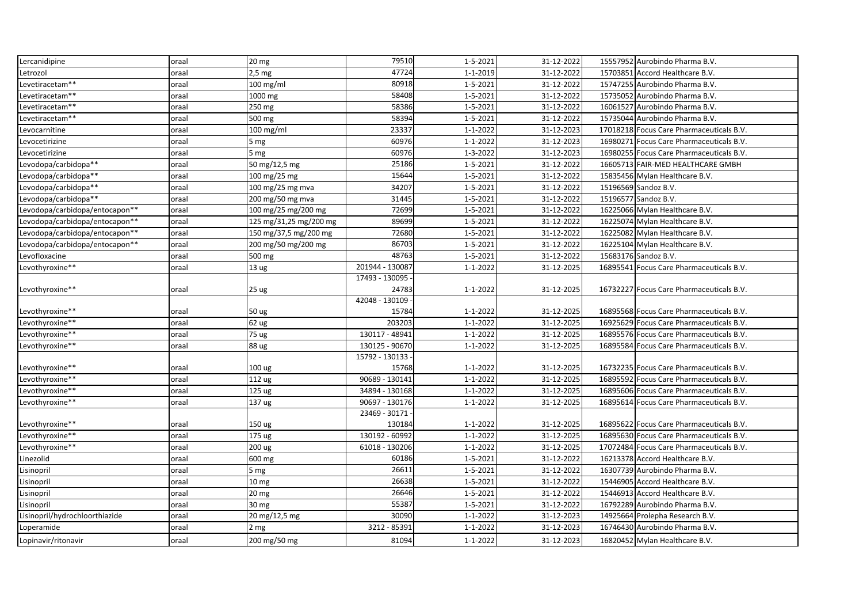| Lercanidipine                  | oraal | 20 mg                  | 79510           | $1 - 5 - 2021$ | 31-12-2022 | 15557952 Aurobindo Pharma B.V.           |
|--------------------------------|-------|------------------------|-----------------|----------------|------------|------------------------------------------|
| Letrozol                       | oraal | $2,5$ mg               | 47724           | $1 - 1 - 2019$ | 31-12-2022 | 15703851 Accord Healthcare B.V.          |
| Levetiracetam**                | oraal | 100 mg/ml              | 80918           | 1-5-2021       | 31-12-2022 | 15747255 Aurobindo Pharma B.V.           |
| Levetiracetam**                | oraal | 1000 mg                | 58408           | 1-5-2021       | 31-12-2022 | 15735052 Aurobindo Pharma B.V.           |
| Levetiracetam**                | oraal | 250 mg                 | 58386           | $1 - 5 - 2021$ | 31-12-2022 | 16061527 Aurobindo Pharma B.V.           |
| Levetiracetam**                | oraal | 500 mg                 | 58394           | 1-5-2021       | 31-12-2022 | 15735044 Aurobindo Pharma B.V.           |
| Levocarnitine                  | oraal | 100 mg/ml              | 23337           | $1 - 1 - 2022$ | 31-12-2023 | 17018218 Focus Care Pharmaceuticals B.V. |
| Levocetirizine                 | oraal | 5 mg                   | 60976           | $1 - 1 - 2022$ | 31-12-2023 | 16980271 Focus Care Pharmaceuticals B.V. |
| Levocetirizine                 | oraal | 5 mg                   | 60976           | 1-3-2022       | 31-12-2023 | 16980255 Focus Care Pharmaceuticals B.V. |
| Levodopa/carbidopa**           | oraal | 50 mg/12,5 mg          | 25186           | 1-5-2021       | 31-12-2022 | 16605713 FAIR-MED HEALTHCARE GMBH        |
| Levodopa/carbidopa**           | oraal | 100 mg/25 mg           | 15644           | 1-5-2021       | 31-12-2022 | 15835456 Mylan Healthcare B.V.           |
| Levodopa/carbidopa**           | oraal | 100 mg/25 mg mva       | 34207           | 1-5-2021       | 31-12-2022 | 15196569 Sandoz B.V.                     |
| Levodopa/carbidopa**           | oraal | 200 mg/50 mg mva       | 31445           | $1 - 5 - 2021$ | 31-12-2022 | 15196577 Sandoz B.V.                     |
| Levodopa/carbidopa/entocapon** | oraal | 100 mg/25 mg/200 mg    | 72699           | 1-5-2021       | 31-12-2022 | 16225066 Mylan Healthcare B.V.           |
| Levodopa/carbidopa/entocapon** | oraal | 125 mg/31,25 mg/200 mg | 89699           | 1-5-2021       | 31-12-2022 | 16225074 Mylan Healthcare B.V.           |
| Levodopa/carbidopa/entocapon** | oraal | 150 mg/37,5 mg/200 mg  | 72680           | 1-5-2021       | 31-12-2022 | 16225082 Mylan Healthcare B.V.           |
| Levodopa/carbidopa/entocapon** | oraal | 200 mg/50 mg/200 mg    | 86703           | 1-5-2021       | 31-12-2022 | 16225104 Mylan Healthcare B.V.           |
| Levofloxacine                  | oraal | 500 mg                 | 48763           | 1-5-2021       | 31-12-2022 | 15683176 Sandoz B.V.                     |
| Levothyroxine**                | oraal | 13 <sub>ug</sub>       | 201944 - 130087 | $1 - 1 - 2022$ | 31-12-2025 | 16895541 Focus Care Pharmaceuticals B.V. |
|                                |       |                        | 17493 - 130095  |                |            |                                          |
| Levothyroxine**                | oraal | 25 ug                  | 24783           | $1 - 1 - 2022$ | 31-12-2025 | 16732227 Focus Care Pharmaceuticals B.V. |
|                                |       |                        | 42048 - 130109  |                |            |                                          |
| Levothyroxine**                | oraal | 50 ug                  | 15784           | 1-1-2022       | 31-12-2025 | 16895568 Focus Care Pharmaceuticals B.V. |
| Levothyroxine**                | oraal | 62 ug                  | 203203          | $1 - 1 - 2022$ | 31-12-2025 | 16925629 Focus Care Pharmaceuticals B.V. |
| Levothyroxine**                | oraal | 75 ug                  | 130117 - 48941  | $1 - 1 - 2022$ | 31-12-2025 | 16895576 Focus Care Pharmaceuticals B.V. |
| Levothyroxine**                | oraal | 88 ug                  | 130125 - 90670  | 1-1-2022       | 31-12-2025 | 16895584 Focus Care Pharmaceuticals B.V. |
|                                |       |                        | 15792 - 130133  |                |            |                                          |
| Levothyroxine**                | oraal | 100 ug                 | 15768           | 1-1-2022       | 31-12-2025 | 16732235 Focus Care Pharmaceuticals B.V. |
| Levothyroxine**                | oraal | 112 ug                 | 90689 - 130141  | $1 - 1 - 2022$ | 31-12-2025 | 16895592 Focus Care Pharmaceuticals B.V. |
| Levothyroxine**                | oraal | 125 ug                 | 34894 - 130168  | $1 - 1 - 2022$ | 31-12-2025 | 16895606 Focus Care Pharmaceuticals B.V. |
| Levothyroxine**                | oraal | 137 ug                 | 90697 - 130176  | $1 - 1 - 2022$ | 31-12-2025 | 16895614 Focus Care Pharmaceuticals B.V. |
|                                |       |                        | 23469 - 30171   |                |            |                                          |
| Levothyroxine**                | oraal | 150 ug                 | 130184          | $1 - 1 - 2022$ | 31-12-2025 | 16895622 Focus Care Pharmaceuticals B.V. |
| Levothyroxine**                | oraal | 175 ug                 | 130192 - 60992  | $1 - 1 - 2022$ | 31-12-2025 | 16895630 Focus Care Pharmaceuticals B.V. |
| Levothyroxine**                | oraal | 200 ug                 | 61018 - 130206  | $1 - 1 - 2022$ | 31-12-2025 | 17072484 Focus Care Pharmaceuticals B.V. |
| Linezolid                      | oraal | 600 mg                 | 60186           | 1-5-2021       | 31-12-2022 | 16213378 Accord Healthcare B.V.          |
| Lisinopril                     | oraal | 5 mg                   | 26611           | 1-5-2021       | 31-12-2022 | 16307739 Aurobindo Pharma B.V.           |
| Lisinopril                     | oraal | 10 mg                  | 26638           | $1 - 5 - 2021$ | 31-12-2022 | 15446905 Accord Healthcare B.V.          |
| Lisinopril                     | oraal | 20 mg                  | 26646           | $1 - 5 - 2021$ | 31-12-2022 | 15446913 Accord Healthcare B.V.          |
| Lisinopril                     | oraal | 30 mg                  | 55387           | 1-5-2021       | 31-12-2022 | 16792289 Aurobindo Pharma B.V.           |
| Lisinopril/hydrochloorthiazide | oraal | 20 mg/12,5 mg          | 30090           | $1 - 1 - 2022$ | 31-12-2023 | 14925664 Prolepha Research B.V.          |
| Loperamide                     | oraal | 2 mg                   | 3212 - 85391    | 1-1-2022       | 31-12-2023 | 16746430 Aurobindo Pharma B.V.           |
| Lopinavir/ritonavir            | oraal | 200 mg/50 mg           | 81094           | $1 - 1 - 2022$ | 31-12-2023 | 16820452 Mylan Healthcare B.V.           |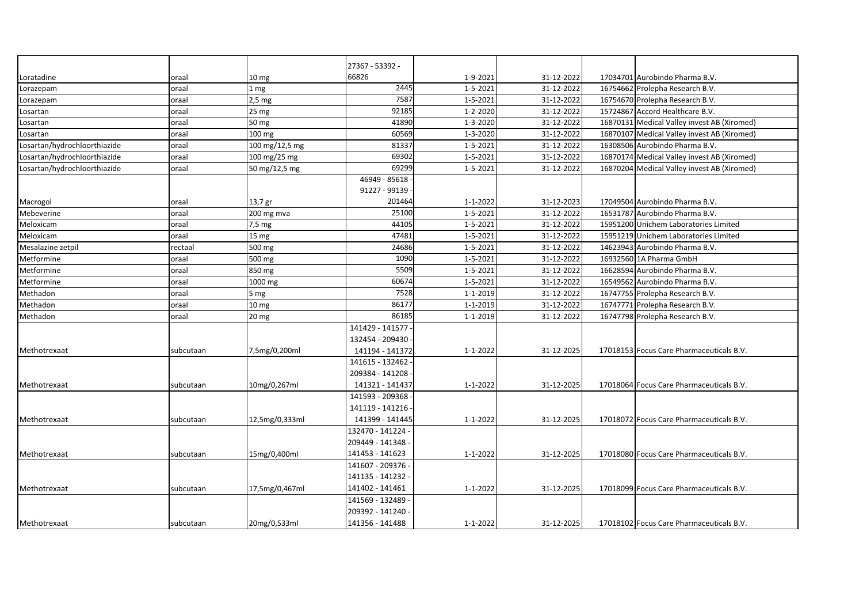|                              |           |                  | 27367 - 53392 - |                |            |                                             |
|------------------------------|-----------|------------------|-----------------|----------------|------------|---------------------------------------------|
| Loratadine                   | oraal     | 10 mg            | 66826           | 1-9-2021       | 31-12-2022 | 17034701 Aurobindo Pharma B.V.              |
| Lorazepam                    | oraal     | 1 mg             | 2445            | 1-5-2021       | 31-12-2022 | 16754662 Prolepha Research B.V.             |
| Lorazepam                    | oraal     | $2,5$ mg         | 7587            | 1-5-2021       | 31-12-2022 | 16754670 Prolepha Research B.V.             |
| Losartan                     | oraal     | 25 mg            | 92185           | 1-2-2020       | 31-12-2022 | 15724867 Accord Healthcare B.V.             |
| Losartan                     | oraal     | 50 mg            | 41890           | 1-3-2020       | 31-12-2022 | 16870131 Medical Valley invest AB (Xiromed) |
| Losartan                     | oraal     | 100 mg           | 60569           | 1-3-2020       | 31-12-2022 | 16870107 Medical Valley invest AB (Xiromed) |
| Losartan/hydrochloorthiazide | oraal     | 100 mg/12,5 mg   | 81337           | 1-5-2021       | 31-12-2022 | 16308506 Aurobindo Pharma B.V.              |
| Losartan/hydrochloorthiazide | oraal     | 100 mg/25 mg     | 69302           | 1-5-2021       | 31-12-2022 | 16870174 Medical Valley invest AB (Xiromed) |
| Losartan/hydrochloorthiazide | oraal     | 50 mg/12,5 mg    | 69299           | 1-5-2021       | 31-12-2022 | 16870204 Medical Valley invest AB (Xiromed) |
|                              |           |                  | 46949 - 85618   |                |            |                                             |
|                              |           |                  | 91227 - 99139   |                |            |                                             |
| Macrogol                     | oraal     | 13,7 gr          | 201464          | 1-1-2022       | 31-12-2023 | 17049504 Aurobindo Pharma B.V.              |
| Mebeverine                   | oraal     | 200 mg mva       | 25100           | 1-5-2021       | 31-12-2022 | 16531787 Aurobindo Pharma B.V.              |
| Meloxicam                    | oraal     | 7,5 mg           | 44105           | 1-5-2021       | 31-12-2022 | 15951200 Unichem Laboratories Limited       |
| Meloxicam                    | oraal     | 15 <sub>mg</sub> | 47481           | 1-5-2021       | 31-12-2022 | 15951219 Unichem Laboratories Limited       |
| Mesalazine zetpil            | rectaal   | 500 mg           | 24686           | 1-5-2021       | 31-12-2022 | 14623943 Aurobindo Pharma B.V.              |
| Metformine                   | oraal     | 500 mg           | 1090            | 1-5-2021       | 31-12-2022 | 16932560 1A Pharma GmbH                     |
| Metformine                   | oraal     | 850 mg           | 5509            | 1-5-2021       | 31-12-2022 | 16628594 Aurobindo Pharma B.V.              |
| Metformine                   | oraal     | 1000 mg          | 60674           | 1-5-2021       | 31-12-2022 | 16549562 Aurobindo Pharma B.V.              |
| Methadon                     | oraal     | 5 mg             | 7528            | 1-1-2019       | 31-12-2022 | 16747755 Prolepha Research B.V.             |
| Methadon                     | oraal     | 10 mg            | 86177           | 1-1-2019       | 31-12-2022 | 16747771 Prolepha Research B.V.             |
| Methadon                     | oraal     | 20 mg            | 86185           | 1-1-2019       | 31-12-2022 | 16747798 Prolepha Research B.V.             |
|                              |           |                  | 141429 - 141577 |                |            |                                             |
|                              |           |                  | 132454 - 209430 |                |            |                                             |
| Methotrexaat                 | subcutaan | 7,5mg/0,200ml    | 141194 - 141372 | 1-1-2022       | 31-12-2025 | 17018153 Focus Care Pharmaceuticals B.V.    |
|                              |           |                  | 141615 - 132462 |                |            |                                             |
|                              |           |                  | 209384 - 141208 |                |            |                                             |
| Methotrexaat                 | subcutaan | 10mg/0,267ml     | 141321 - 141437 | 1-1-2022       | 31-12-2025 | 17018064 Focus Care Pharmaceuticals B.V.    |
|                              |           |                  | 141593 - 209368 |                |            |                                             |
|                              |           |                  | 141119 - 141216 |                |            |                                             |
| Methotrexaat                 | subcutaan | 12,5mg/0,333ml   | 141399 - 141445 | $1 - 1 - 2022$ | 31-12-2025 | 17018072 Focus Care Pharmaceuticals B.V.    |
|                              |           |                  | 132470 - 141224 |                |            |                                             |
|                              |           |                  | 209449 - 141348 |                |            |                                             |
| Methotrexaat                 | subcutaan | 15mg/0,400ml     | 141453 - 141623 | $1 - 1 - 2022$ | 31-12-2025 | 17018080 Focus Care Pharmaceuticals B.V.    |
|                              |           |                  | 141607 - 209376 |                |            |                                             |
|                              |           |                  | 141135 - 141232 |                |            |                                             |
| Methotrexaat                 | subcutaan | 17,5mg/0,467ml   | 141402 - 141461 | 1-1-2022       | 31-12-2025 | 17018099 Focus Care Pharmaceuticals B.V.    |
|                              |           |                  | 141569 - 132489 |                |            |                                             |
|                              |           |                  | 209392 - 141240 |                |            |                                             |
| Methotrexaat                 | subcutaan | 20mg/0,533ml     | 141356 - 141488 | $1 - 1 - 2022$ | 31-12-2025 | 17018102 Focus Care Pharmaceuticals B.V.    |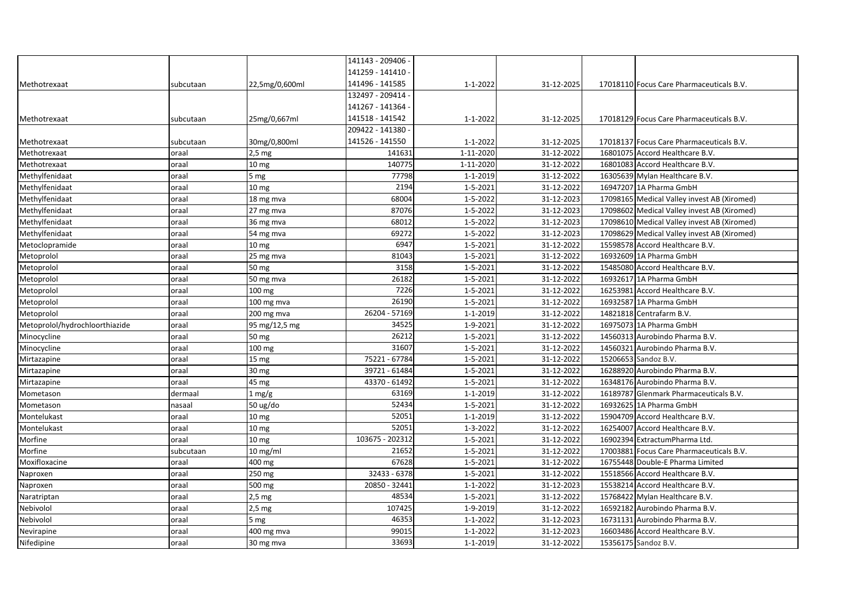|                                |           |                           | 141143 - 209406 - |                |            |                                             |
|--------------------------------|-----------|---------------------------|-------------------|----------------|------------|---------------------------------------------|
|                                |           |                           | 141259 - 141410 - |                |            |                                             |
| Methotrexaat                   | subcutaan | 22,5mg/0,600ml            | 141496 - 141585   | $1 - 1 - 2022$ | 31-12-2025 | 17018110 Focus Care Pharmaceuticals B.V.    |
|                                |           |                           | 132497 - 209414 - |                |            |                                             |
|                                |           |                           | 141267 - 141364 - |                |            |                                             |
| Methotrexaat                   | subcutaan | 25mg/0,667ml              | 141518 - 141542   | $1 - 1 - 2022$ | 31-12-2025 | 17018129 Focus Care Pharmaceuticals B.V.    |
|                                |           |                           | 209422 - 141380   |                |            |                                             |
| Methotrexaat                   | subcutaan | 30mg/0,800ml              | 141526 - 141550   | 1-1-2022       | 31-12-2025 | 17018137 Focus Care Pharmaceuticals B.V.    |
| Methotrexaat                   | oraal     | $2,5$ mg                  | 141631            | 1-11-2020      | 31-12-2022 | 16801075 Accord Healthcare B.V.             |
| Methotrexaat                   | oraal     | 10 <sub>mg</sub>          | 140775            | 1-11-2020      | 31-12-2022 | 16801083 Accord Healthcare B.V.             |
| Methylfenidaat                 | oraal     | 5 mg                      | 77798             | 1-1-2019       | 31-12-2022 | 16305639 Mylan Healthcare B.V.              |
| Methylfenidaat                 | oraal     | 10 mg                     | 2194              | $1 - 5 - 2021$ | 31-12-2022 | 16947207 1A Pharma GmbH                     |
| Methylfenidaat                 | oraal     | 18 mg mva                 | 68004             | 1-5-2022       | 31-12-2023 | 17098165 Medical Valley invest AB (Xiromed) |
| Methylfenidaat                 | oraal     | 27 mg mva                 | 87076             | 1-5-2022       | 31-12-2023 | 17098602 Medical Valley invest AB (Xiromed) |
| Methylfenidaat                 | oraal     | 36 mg mva                 | 68012             | 1-5-2022       | 31-12-2023 | 17098610 Medical Valley invest AB (Xiromed) |
| Methylfenidaat                 | oraal     | 54 mg mva                 | 69272             | 1-5-2022       | 31-12-2023 | 17098629 Medical Valley invest AB (Xiromed) |
| Metoclopramide                 | oraal     | 10 mg                     | 6947              | $1 - 5 - 2021$ | 31-12-2022 | 15598578 Accord Healthcare B.V.             |
| Metoprolol                     | oraal     | 25 mg mva                 | 81043             | 1-5-2021       | 31-12-2022 | 16932609 1A Pharma GmbH                     |
| Metoprolol                     | oraal     | 50 mg                     | 3158              | 1-5-2021       | 31-12-2022 | 15485080 Accord Healthcare B.V.             |
| Metoprolol                     | oraal     | 50 mg mva                 | 26182             | $1 - 5 - 2021$ | 31-12-2022 | 16932617 1A Pharma GmbH                     |
| Metoprolol                     | oraal     | 100 mg                    | 7226              | 1-5-2021       | 31-12-2022 | 16253981 Accord Healthcare B.V.             |
| Metoprolol                     | oraal     | 100 mg mva                | 26190             | $1 - 5 - 2021$ | 31-12-2022 | 16932587 1A Pharma GmbH                     |
| Metoprolol                     | oraal     | 200 mg mva                | 26204 - 57169     | 1-1-2019       | 31-12-2022 | 14821818 Centrafarm B.V.                    |
| Metoprolol/hydrochloorthiazide | oraal     | 95 mg/12,5 mg             | 34525             | 1-9-2021       | 31-12-2022 | 16975073 1A Pharma GmbH                     |
| Minocycline                    | oraal     | 50 mg                     | 26212             | $1 - 5 - 2021$ | 31-12-2022 | 14560313 Aurobindo Pharma B.V.              |
| Minocycline                    | oraal     | 100 mg                    | 31607             | $1 - 5 - 2021$ | 31-12-2022 | 14560321 Aurobindo Pharma B.V.              |
| Mirtazapine                    | oraal     | 15 mg                     | 75221 - 67784     | 1-5-2021       | 31-12-2022 | 15206653 Sandoz B.V.                        |
| Mirtazapine                    | oraal     | 30 mg                     | 39721 - 61484     | 1-5-2021       | 31-12-2022 | 16288920 Aurobindo Pharma B.V.              |
| Mirtazapine                    | oraal     | 45 mg                     | 43370 - 61492     | 1-5-2021       | 31-12-2022 | 16348176 Aurobindo Pharma B.V.              |
| Mometason                      | dermaal   | 1 mg/g                    | 63169             | $1 - 1 - 2019$ | 31-12-2022 | 16189787 Glenmark Pharmaceuticals B.V.      |
| Mometason                      | nasaal    | $50 \text{ ug}/\text{do}$ | 52434             | 1-5-2021       | 31-12-2022 | 16932625 1A Pharma GmbH                     |
| Montelukast                    | oraal     | 10 mg                     | 52051             | $1 - 1 - 2019$ | 31-12-2022 | 15904709 Accord Healthcare B.V.             |
| Montelukast                    | oraal     | 10 mg                     | 52051             | $1 - 3 - 2022$ | 31-12-2022 | 16254007 Accord Healthcare B.V.             |
| Morfine                        | oraal     | 10 mg                     | 103675 - 202312   | 1-5-2021       | 31-12-2022 | 16902394 ExtractumPharma Ltd.               |
| Morfine                        | subcutaan | 10 mg/ml                  | 21652             | $1 - 5 - 2021$ | 31-12-2022 | 17003881 Focus Care Pharmaceuticals B.V.    |
| Moxifloxacine                  | oraal     | 400 mg                    | 67628             | $1 - 5 - 2021$ | 31-12-2022 | 16755448 Double-E Pharma Limited            |
| Naproxen                       | oraal     | 250 mg                    | 32433 - 6378      | 1-5-2021       | 31-12-2022 | 15518566 Accord Healthcare B.V.             |
| Naproxen                       | oraal     | 500 mg                    | 20850 - 32441     | $1 - 1 - 2022$ | 31-12-2023 | 15538214 Accord Healthcare B.V.             |
| Naratriptan                    | oraal     | $2,5$ mg                  | 48534             | $1 - 5 - 2021$ | 31-12-2022 | 15768422 Mylan Healthcare B.V.              |
| Nebivolol                      | oraal     | $2,5$ mg                  | 107425            | 1-9-2019       | 31-12-2022 | 16592182 Aurobindo Pharma B.V.              |
| Nebivolol                      | oraal     | 5 <sub>mg</sub>           | 46353             | 1-1-2022       | 31-12-2023 | 16731131 Aurobindo Pharma B.V.              |
| Nevirapine                     | oraal     | 400 mg mva                | 99015             | 1-1-2022       | 31-12-2023 | 16603486 Accord Healthcare B.V.             |
| Nifedipine                     | oraal     | 30 mg mva                 | 33693             | $1 - 1 - 2019$ | 31-12-2022 | 15356175 Sandoz B.V.                        |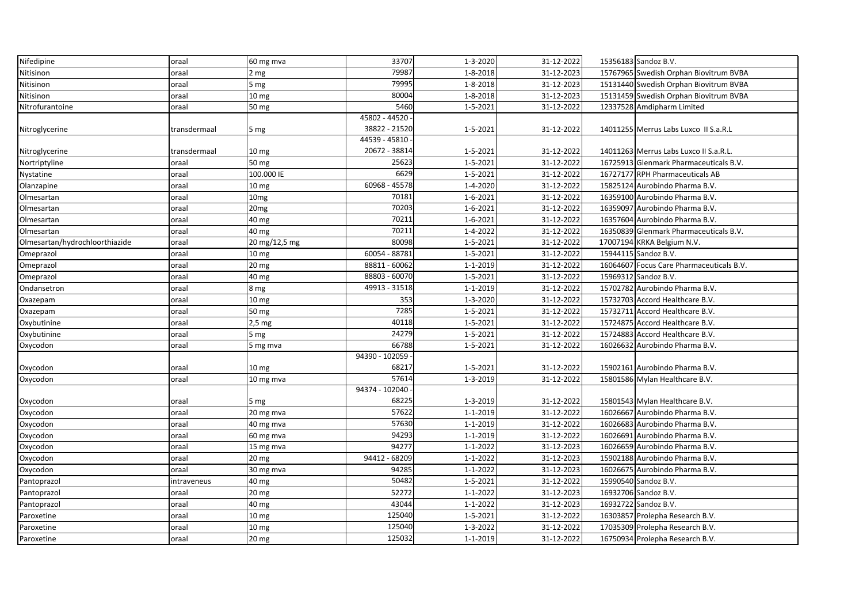| Nifedipine                     | oraal        | 60 mg mva        | 33707            | 1-3-2020       | 31-12-2022 | 15356183 Sandoz B.V.                     |
|--------------------------------|--------------|------------------|------------------|----------------|------------|------------------------------------------|
| Nitisinon                      | oraal        | 2 mg             | 79987            | 1-8-2018       | 31-12-2023 | 15767965 Swedish Orphan Biovitrum BVBA   |
| Nitisinon                      | oraal        | 5 mg             | 79995            | 1-8-2018       | 31-12-2023 | 15131440 Swedish Orphan Biovitrum BVBA   |
| Nitisinon                      | oraal        | 10 <sub>mg</sub> | 80004            | 1-8-2018       | 31-12-2023 | 15131459 Swedish Orphan Biovitrum BVBA   |
| Nitrofurantoine                | oraal        | 50 mg            | 5460             | 1-5-2021       | 31-12-2022 | 12337528 Amdipharm Limited               |
|                                |              |                  | 45802 - 44520    |                |            |                                          |
| Nitroglycerine                 | transdermaal | 5 <sub>mg</sub>  | 38822 - 21520    | 1-5-2021       | 31-12-2022 | 14011255 Merrus Labs Luxco II S.a.R.L    |
|                                |              |                  | 44539 - 45810    |                |            |                                          |
| Nitroglycerine                 | transdermaal | 10 <sub>mg</sub> | 20672 - 38814    | 1-5-2021       | 31-12-2022 | 14011263 Merrus Labs Luxco II S.a.R.L.   |
| Nortriptyline                  | oraal        | 50 mg            | 25623            | 1-5-2021       | 31-12-2022 | 16725913 Glenmark Pharmaceuticals B.V.   |
| Nystatine                      | oraal        | 100.000 IE       | 6629             | 1-5-2021       | 31-12-2022 | 16727177 RPH Pharmaceuticals AB          |
| Olanzapine                     | oraal        | 10 mg            | 60968 - 45578    | 1-4-2020       | 31-12-2022 | 15825124 Aurobindo Pharma B.V.           |
| Olmesartan                     | oraal        | 10 <sub>mg</sub> | 70181            | $1 - 6 - 2021$ | 31-12-2022 | 16359100 Aurobindo Pharma B.V.           |
| Olmesartan                     | oraal        | 20 <sub>mg</sub> | 70203            | $1 - 6 - 2021$ | 31-12-2022 | 16359097 Aurobindo Pharma B.V.           |
| Olmesartan                     | oraal        | 40 mg            | 70211            | 1-6-2021       | 31-12-2022 | 16357604 Aurobindo Pharma B.V.           |
| Olmesartan                     | oraal        | 40 mg            | 70211            | 1-4-2022       | 31-12-2022 | 16350839 Glenmark Pharmaceuticals B.V.   |
| Olmesartan/hydrochloorthiazide | oraal        | 20 mg/12,5 mg    | 80098            | 1-5-2021       | 31-12-2022 | 17007194 KRKA Belgium N.V.               |
| Omeprazol                      | oraal        | 10 mg            | 60054 - 88781    | 1-5-2021       | 31-12-2022 | 15944115 Sandoz B.V.                     |
| Omeprazol                      | oraal        | 20 mg            | 88811 - 60062    | 1-1-2019       | 31-12-2022 | 16064607 Focus Care Pharmaceuticals B.V. |
| Omeprazol                      | oraal        | 40 mg            | 88803 - 60070    | $1 - 5 - 2021$ | 31-12-2022 | 15969312 Sandoz B.V.                     |
| Ondansetron                    | oraal        | 8 mg             | 49913 - 31518    | $1 - 1 - 2019$ | 31-12-2022 | 15702782 Aurobindo Pharma B.V.           |
| Oxazepam                       | oraal        | 10 mg            | 353              | 1-3-2020       | 31-12-2022 | 15732703 Accord Healthcare B.V.          |
| Oxazepam                       | oraal        | 50 mg            | 7285             | 1-5-2021       | 31-12-2022 | 15732711 Accord Healthcare B.V.          |
| Oxybutinine                    | oraal        | $2,5$ mg         | 40118            | $1 - 5 - 2021$ | 31-12-2022 | 15724875 Accord Healthcare B.V.          |
| Oxybutinine                    | oraal        | 5 mg             | 24279            | 1-5-2021       | 31-12-2022 | 15724883 Accord Healthcare B.V.          |
| Oxycodon                       | oraal        | 5 mg mva         | 66788            | 1-5-2021       | 31-12-2022 | 16026632 Aurobindo Pharma B.V.           |
|                                |              |                  | 94390 - 102059 - |                |            |                                          |
| Oxycodon                       | oraal        | 10 <sub>mg</sub> | 68217            | 1-5-2021       | 31-12-2022 | 15902161 Aurobindo Pharma B.V.           |
| Oxycodon                       | oraal        | 10 mg mva        | 57614            | 1-3-2019       | 31-12-2022 | 15801586 Mylan Healthcare B.V.           |
|                                |              |                  | 94374 - 102040   |                |            |                                          |
| Oxycodon                       | oraal        | 5 mg             | 68225            | 1-3-2019       | 31-12-2022 | 15801543 Mylan Healthcare B.V.           |
| Oxycodon                       | oraal        | 20 mg mva        | 57622            | 1-1-2019       | 31-12-2022 | 16026667 Aurobindo Pharma B.V.           |
| Oxycodon                       | oraal        | 40 mg mva        | 57630            | 1-1-2019       | 31-12-2022 | 16026683 Aurobindo Pharma B.V.           |
| Oxycodon                       | oraal        | 60 mg mva        | 94293            | $1 - 1 - 2019$ | 31-12-2022 | 16026691 Aurobindo Pharma B.V.           |
| Oxycodon                       | oraal        | 15 mg mva        | 94277            | $1 - 1 - 2022$ | 31-12-2023 | 16026659 Aurobindo Pharma B.V.           |
| Oxycodon                       | oraal        | 20 mg            | 94412 - 68209    | 1-1-2022       | 31-12-2023 | 15902188 Aurobindo Pharma B.V.           |
| Oxycodon                       | oraal        | 30 mg mva        | 94285            | $1 - 1 - 2022$ | 31-12-2023 | 16026675 Aurobindo Pharma B.V.           |
| Pantoprazol                    | intraveneus  | 40 mg            | 50482            | 1-5-2021       | 31-12-2022 | 15990540 Sandoz B.V.                     |
| Pantoprazol                    | oraal        | 20 mg            | 52272            | $1 - 1 - 2022$ | 31-12-2023 | 16932706 Sandoz B.V.                     |
| Pantoprazol                    | oraal        | 40 mg            | 43044            | $1 - 1 - 2022$ | 31-12-2023 | 16932722 Sandoz B.V.                     |
| Paroxetine                     | oraal        | 10 mg            | 125040           | 1-5-2021       | 31-12-2022 | 16303857 Prolepha Research B.V.          |
| Paroxetine                     | oraal        | 10 <sub>mg</sub> | 125040           | 1-3-2022       | 31-12-2022 | 17035309 Prolepha Research B.V.          |
| Paroxetine                     | oraal        | 20 mg            | 125032           | $1 - 1 - 2019$ | 31-12-2022 | 16750934 Prolepha Research B.V.          |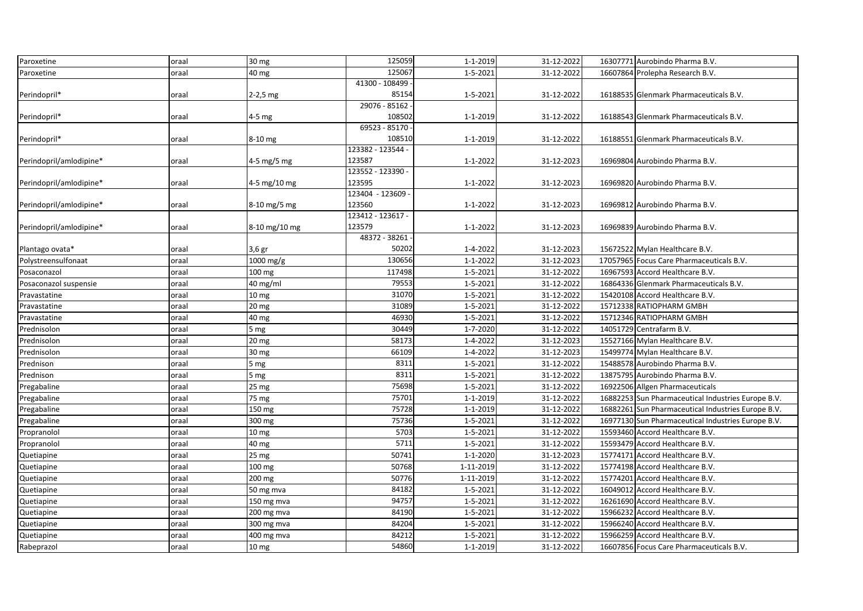| Paroxetine              | oraal | 30 mg               | 125059                    | $1 - 1 - 2019$ | 31-12-2022 | 16307771 Aurobindo Pharma B.V.                     |
|-------------------------|-------|---------------------|---------------------------|----------------|------------|----------------------------------------------------|
| Paroxetine              | oraal | 40 mg               | 125067                    | $1 - 5 - 2021$ | 31-12-2022 | 16607864 Prolepha Research B.V.                    |
|                         |       |                     | 41300 - 108499 -          |                |            |                                                    |
| Perindopril*            | oraal | 2-2,5 mg            | 85154                     | 1-5-2021       | 31-12-2022 | 16188535 Glenmark Pharmaceuticals B.V.             |
|                         |       |                     | 29076 - 85162 -           |                |            |                                                    |
| Perindopril*            | oraal | 4-5 mg              | 108502                    | 1-1-2019       | 31-12-2022 | 16188543 Glenmark Pharmaceuticals B.V.             |
|                         |       |                     | 69523 - 85170             |                |            |                                                    |
| Perindopril*            | oraal | 8-10 mg             | 108510                    | 1-1-2019       | 31-12-2022 | 16188551 Glenmark Pharmaceuticals B.V.             |
|                         |       |                     | 123382 - 123544           |                |            |                                                    |
| Perindopril/amlodipine* | oraal | 4-5 mg/5 mg         | 123587                    | 1-1-2022       | 31-12-2023 | 16969804 Aurobindo Pharma B.V.                     |
|                         |       |                     | 123552 - 123390           |                |            |                                                    |
| Perindopril/amlodipine* | oraal | 4-5 mg/10 mg        | 123595                    | 1-1-2022       | 31-12-2023 | 16969820 Aurobindo Pharma B.V.                     |
|                         |       |                     | 123404 - 123609<br>123560 |                |            |                                                    |
| Perindopril/amlodipine* | oraal | 8-10 mg/5 mg        | 123412 - 123617 -         | 1-1-2022       | 31-12-2023 | 16969812 Aurobindo Pharma B.V.                     |
|                         |       | 8-10 mg/10 mg       | 123579                    | $1 - 1 - 2022$ |            |                                                    |
| Perindopril/amlodipine* | oraal |                     | 48372 - 38261             |                | 31-12-2023 | 16969839 Aurobindo Pharma B.V.                     |
| Plantago ovata*         | oraal | 3,6 gr              | 50202                     | 1-4-2022       | 31-12-2023 | 15672522 Mylan Healthcare B.V.                     |
| Polystreensulfonaat     | oraal | 1000 mg/g           | 130656                    | 1-1-2022       | 31-12-2023 | 17057965 Focus Care Pharmaceuticals B.V.           |
| Posaconazol             | oraal | 100 mg              | 117498                    | $1 - 5 - 2021$ | 31-12-2022 | 16967593 Accord Healthcare B.V.                    |
| Posaconazol suspensie   | oraal | 40 mg/ml            | 79553                     | 1-5-2021       | 31-12-2022 | 16864336 Glenmark Pharmaceuticals B.V.             |
| Pravastatine            | oraal | $10 \; \mathrm{mg}$ | 31070                     | 1-5-2021       | 31-12-2022 | 15420108 Accord Healthcare B.V.                    |
| Pravastatine            | oraal | 20 mg               | 31089                     | 1-5-2021       | 31-12-2022 | 15712338 RATIOPHARM GMBH                           |
| Pravastatine            | oraal | 40 mg               | 46930                     | 1-5-2021       | 31-12-2022 | 15712346 RATIOPHARM GMBH                           |
| Prednisolon             | oraal | 5 mg                | 30449                     | 1-7-2020       | 31-12-2022 | 14051729 Centrafarm B.V.                           |
| Prednisolon             | oraal | 20 mg               | 58173                     | 1-4-2022       | 31-12-2023 | 15527166 Mylan Healthcare B.V.                     |
| Prednisolon             | oraal | 30 mg               | 66109                     | 1-4-2022       | 31-12-2023 | 15499774 Mylan Healthcare B.V.                     |
| Prednison               | oraal | 5 mg                | 8311                      | 1-5-2021       | 31-12-2022 | 15488578 Aurobindo Pharma B.V.                     |
| Prednison               | oraal | 5 mg                | 8311                      | $1 - 5 - 2021$ | 31-12-2022 | 13875795 Aurobindo Pharma B.V.                     |
| Pregabaline             | oraal | 25 mg               | 75698                     | 1-5-2021       | 31-12-2022 | 16922506 Allgen Pharmaceuticals                    |
| Pregabaline             | oraal | 75 mg               | 75701                     | 1-1-2019       | 31-12-2022 | 16882253 Sun Pharmaceutical Industries Europe B.V. |
| Pregabaline             | oraal | 150 mg              | 75728                     | 1-1-2019       | 31-12-2022 | 16882261 Sun Pharmaceutical Industries Europe B.V. |
| Pregabaline             | oraal | 300 mg              | 75736                     | $1 - 5 - 2021$ | 31-12-2022 | 16977130 Sun Pharmaceutical Industries Europe B.V. |
| Propranolol             | oraal | 10 mg               | 5703                      | $1 - 5 - 2021$ | 31-12-2022 | 15593460 Accord Healthcare B.V.                    |
| Propranolol             | oraal | 40 mg               | 5711                      | 1-5-2021       | 31-12-2022 | 15593479 Accord Healthcare B.V.                    |
| Quetiapine              | oraal | 25 mg               | 50741                     | 1-1-2020       | 31-12-2023 | 15774171 Accord Healthcare B.V.                    |
| Quetiapine              | oraal | 100 mg              | 50768                     | 1-11-2019      | 31-12-2022 | 15774198 Accord Healthcare B.V.                    |
| Quetiapine              | oraal | 200 mg              | 50776                     | 1-11-2019      | 31-12-2022 | 15774201 Accord Healthcare B.V.                    |
| Quetiapine              | oraal | 50 mg mva           | 84182                     | 1-5-2021       | 31-12-2022 | 16049012 Accord Healthcare B.V.                    |
| Quetiapine              | oraal | 150 mg mva          | 94757                     | 1-5-2021       | 31-12-2022 | 16261690 Accord Healthcare B.V.                    |
| Quetiapine              | oraal | 200 mg mva          | 84190                     | 1-5-2021       | 31-12-2022 | 15966232 Accord Healthcare B.V.                    |
| Quetiapine              | oraal | 300 mg mva          | 84204                     | $1 - 5 - 2021$ | 31-12-2022 | 15966240 Accord Healthcare B.V.                    |
| Quetiapine              | oraal | 400 mg mva          | 84212                     | $1 - 5 - 2021$ | 31-12-2022 | 15966259 Accord Healthcare B.V.                    |
| Rabeprazol              | oraal | 10 <sub>mg</sub>    | 54860                     | $1 - 1 - 2019$ | 31-12-2022 | 16607856 Focus Care Pharmaceuticals B.V.           |
|                         |       |                     |                           |                |            |                                                    |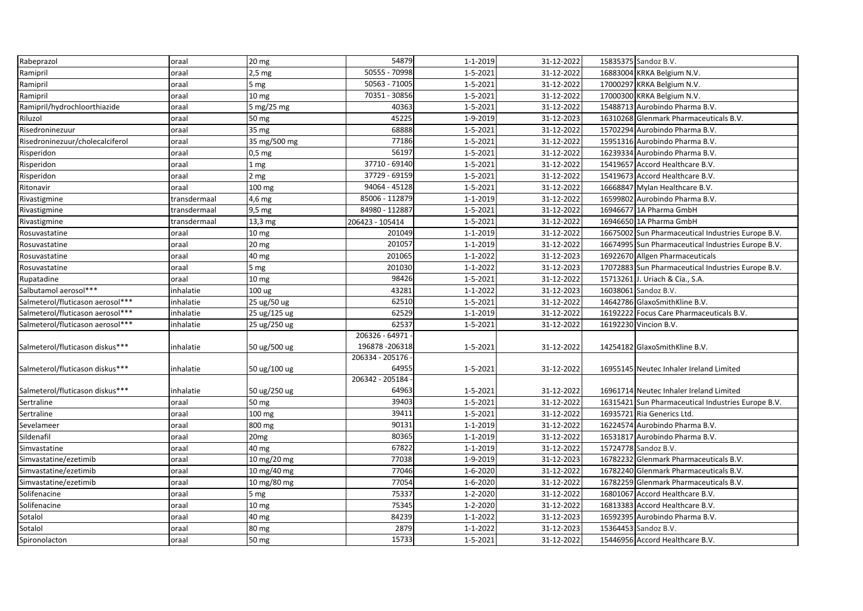| Rabeprazol                       | oraal        | 20 mg            | 54879           | $1 - 1 - 2019$ | 31-12-2022 | 15835375 Sandoz B.V.                               |
|----------------------------------|--------------|------------------|-----------------|----------------|------------|----------------------------------------------------|
| Ramipril                         | oraal        | $2,5$ mg         | 50555 - 70998   | $1 - 5 - 2021$ | 31-12-2022 | 16883004 KRKA Belgium N.V.                         |
| Ramipril                         | oraal        | 5 mg             | 50563 - 71005   | 1-5-2021       | 31-12-2022 | 17000297 KRKA Belgium N.V.                         |
| Ramipril                         | oraal        | 10 mg            | 70351 - 30856   | $1 - 5 - 2021$ | 31-12-2022 | 17000300 KRKA Belgium N.V.                         |
| Ramipril/hydrochloorthiazide     | oraal        | 5 mg/25 mg       | 40363           | 1-5-2021       | 31-12-2022 | 15488713 Aurobindo Pharma B.V.                     |
| Riluzol                          | oraal        | 50 mg            | 45225           | 1-9-2019       | 31-12-2023 | 16310268 Glenmark Pharmaceuticals B.V.             |
| Risedroninezuur                  | oraal        | 35 mg            | 68888           | 1-5-2021       | 31-12-2022 | 15702294 Aurobindo Pharma B.V.                     |
| Risedroninezuur/cholecalciferol  | oraal        | 35 mg/500 mg     | 77186           | 1-5-2021       | 31-12-2022 | 15951316 Aurobindo Pharma B.V.                     |
| Risperidon                       | oraal        | $0,5$ mg         | 56197           | $1 - 5 - 2021$ | 31-12-2022 | 16239334 Aurobindo Pharma B.V.                     |
| Risperidon                       | oraal        | 1 <sub>mg</sub>  | 37710 - 69140   | $1 - 5 - 2021$ | 31-12-2022 | 15419657 Accord Healthcare B.V.                    |
| Risperidon                       | oraal        | 2 mg             | 37729 - 69159   | 1-5-2021       | 31-12-2022 | 15419673 Accord Healthcare B.V.                    |
| Ritonavir                        | oraal        | 100 mg           | 94064 - 45128   | 1-5-2021       | 31-12-2022 | 16668847 Mylan Healthcare B.V.                     |
| Rivastigmine                     | transdermaal | 4,6 mg           | 85006 - 112879  | $1 - 1 - 2019$ | 31-12-2022 | 16599802 Aurobindo Pharma B.V.                     |
| Rivastigmine                     | transdermaal | 9,5 mg           | 84980 - 112887  | 1-5-2021       | 31-12-2022 | 16946677 1A Pharma GmbH                            |
| Rivastigmine                     | transdermaal | 13,3 mg          | 206423 - 105414 | 1-5-2021       | 31-12-2022 | 16946650 1A Pharma GmbH                            |
| Rosuvastatine                    | oraal        | 10 <sub>mg</sub> | 201049          | $1 - 1 - 2019$ | 31-12-2022 | 16675002 Sun Pharmaceutical Industries Europe B.V. |
| Rosuvastatine                    | oraal        | 20 mg            | 201057          | $1 - 1 - 2019$ | 31-12-2022 | 16674995 Sun Pharmaceutical Industries Europe B.V. |
| Rosuvastatine                    | oraal        | 40 mg            | 201065          | $1 - 1 - 2022$ | 31-12-2023 | 16922670 Allgen Pharmaceuticals                    |
| Rosuvastatine                    | oraal        | 5 mg             | 201030          | $1 - 1 - 2022$ | 31-12-2023 | 17072883 Sun Pharmaceutical Industries Europe B.V. |
| Rupatadine                       | oraal        | 10 <sub>mg</sub> | 98426           | 1-5-2021       | 31-12-2022 | 15713261 J. Uriach & Cía., S.A.                    |
| Salbutamol aerosol***            | inhalatie    | 100 ug           | 43281           | $1 - 1 - 2022$ | 31-12-2023 | 16038061 Sandoz B.V.                               |
| Salmeterol/fluticason aerosol*** | inhalatie    | 25 ug/50 ug      | 62510           | 1-5-2021       | 31-12-2022 | 14642786 GlaxoSmithKline B.V.                      |
| Salmeterol/fluticason aerosol*** | inhalatie    | 25 ug/125 ug     | 62529           | $1 - 1 - 2019$ | 31-12-2022 | 16192222 Focus Care Pharmaceuticals B.V.           |
| Salmeterol/fluticason aerosol*** | inhalatie    | 25 ug/250 ug     | 62537           | 1-5-2021       | 31-12-2022 | 16192230 Vincion B.V.                              |
|                                  |              |                  | 206326 - 64971  |                |            |                                                    |
| Salmeterol/fluticason diskus***  | inhalatie    | 50 ug/500 ug     | 196878-206318   | 1-5-2021       | 31-12-2022 | 14254182 GlaxoSmithKline B.V.                      |
|                                  |              |                  | 206334 - 205176 |                |            |                                                    |
| Salmeterol/fluticason diskus***  | inhalatie    | 50 ug/100 ug     | 64955           | 1-5-2021       | 31-12-2022 | 16955145 Neutec Inhaler Ireland Limited            |
|                                  |              |                  | 206342 - 205184 |                |            |                                                    |
| Salmeterol/fluticason diskus***  | inhalatie    | 50 ug/250 ug     | 64963           | 1-5-2021       | 31-12-2022 | 16961714 Neutec Inhaler Ireland Limited            |
| Sertraline                       | oraal        | 50 mg            | 39403           | 1-5-2021       | 31-12-2022 | 16315421 Sun Pharmaceutical Industries Europe B.V. |
| Sertraline                       | oraal        | 100 mg           | 39411           | 1-5-2021       | 31-12-2022 | 16935721 Ria Generics Ltd.                         |
| Sevelameer                       | oraal        | 800 mg           | 90131           | 1-1-2019       | 31-12-2022 | 16224574 Aurobindo Pharma B.V.                     |
| Sildenafil                       | oraal        | 20mg             | 80365           | 1-1-2019       | 31-12-2022 | 16531817 Aurobindo Pharma B.V.                     |
| Simvastatine                     | oraal        | 40 mg            | 67822           | $1 - 1 - 2019$ | 31-12-2022 | 15724778 Sandoz B.V.                               |
| Simvastatine/ezetimib            | oraal        | 10 mg/20 mg      | 77038           | 1-9-2019       | 31-12-2023 | 16782232 Glenmark Pharmaceuticals B.V.             |
| Simvastatine/ezetimib            | oraal        | 10 mg/40 mg      | 77046           | 1-6-2020       | 31-12-2022 | 16782240 Glenmark Pharmaceuticals B.V.             |
| Simvastatine/ezetimib            | oraal        | 10 mg/80 mg      | 77054           | 1-6-2020       | 31-12-2022 | 16782259 Glenmark Pharmaceuticals B.V.             |
| Solifenacine                     | oraal        | 5 mg             | 75337           | 1-2-2020       | 31-12-2022 | 16801067 Accord Healthcare B.V.                    |
| Solifenacine                     | oraal        | 10 <sub>mg</sub> | 75345           | 1-2-2020       | 31-12-2022 | 16813383 Accord Healthcare B.V.                    |
| Sotalol                          | oraal        | 40 mg            | 84239           | $1 - 1 - 2022$ | 31-12-2023 | 16592395 Aurobindo Pharma B.V.                     |
| Sotalol                          | oraal        | 80 mg            | 2879            | $1 - 1 - 2022$ | 31-12-2023 | 15364453 Sandoz B.V.                               |
| Spironolacton                    | oraal        | 50 mg            | 15733           | $1 - 5 - 2021$ | 31-12-2022 | 15446956 Accord Healthcare B.V.                    |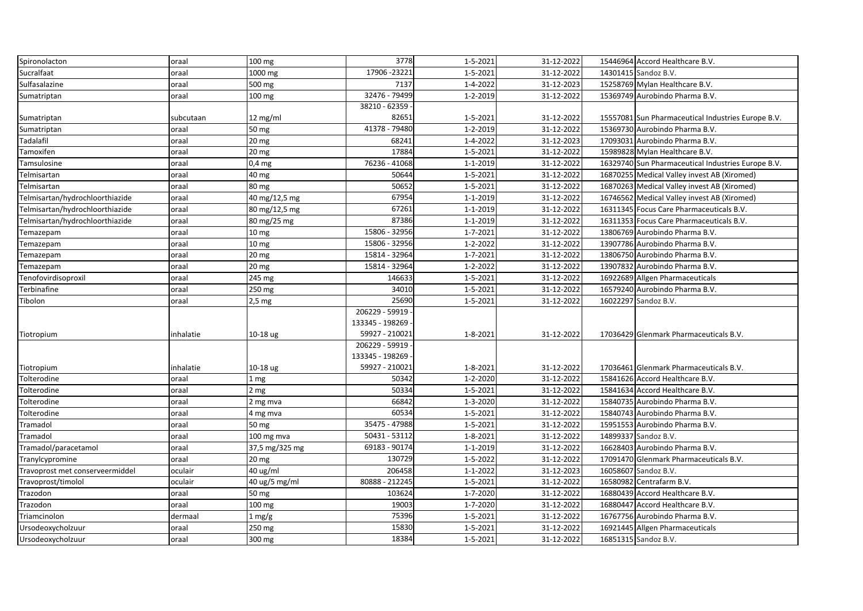| Spironolacton                   | oraal     | 100 mg           | 3778              | 1-5-2021       | 31-12-2022 | 15446964 Accord Healthcare B.V.                    |
|---------------------------------|-----------|------------------|-------------------|----------------|------------|----------------------------------------------------|
| Sucralfaat                      | oraal     | 1000 mg          | 17906 - 23221     | 1-5-2021       | 31-12-2022 | 14301415 Sandoz B.V.                               |
| Sulfasalazine                   | oraal     | 500 mg           | 7137              | 1-4-2022       | 31-12-2023 | 15258769 Mylan Healthcare B.V.                     |
| Sumatriptan                     | oraal     | 100 mg           | 32476 - 79499     | 1-2-2019       | 31-12-2022 | 15369749 Aurobindo Pharma B.V.                     |
|                                 |           |                  | 38210 - 62359     |                |            |                                                    |
| Sumatriptan                     | subcutaan | 12 mg/ml         | 82651             | 1-5-2021       | 31-12-2022 | 15557081 Sun Pharmaceutical Industries Europe B.V. |
| Sumatriptan                     | oraal     | 50 mg            | 41378 - 79480     | 1-2-2019       | 31-12-2022 | 15369730 Aurobindo Pharma B.V.                     |
| Tadalafil                       | oraal     | 20 mg            | 68241             | 1-4-2022       | 31-12-2023 | 17093031 Aurobindo Pharma B.V.                     |
| Tamoxifen                       | oraal     | 20 mg            | 17884             | 1-5-2021       | 31-12-2022 | 15989828 Mylan Healthcare B.V.                     |
| Tamsulosine                     | oraal     | $0,4$ mg         | 76236 - 41068     | 1-1-2019       | 31-12-2022 | 16329740 Sun Pharmaceutical Industries Europe B.V. |
| Telmisartan                     | oraal     | 40 mg            | 50644             | 1-5-2021       | 31-12-2022 | 16870255 Medical Valley invest AB (Xiromed)        |
| Telmisartan                     | oraal     | 80 mg            | 50652             | 1-5-2021       | 31-12-2022 | 16870263 Medical Valley invest AB (Xiromed)        |
| Telmisartan/hydrochloorthiazide | oraal     | 40 mg/12,5 mg    | 67954             | $1 - 1 - 2019$ | 31-12-2022 | 16746562 Medical Valley invest AB (Xiromed)        |
| Telmisartan/hydrochloorthiazide | oraal     | 80 mg/12,5 mg    | 67261             | 1-1-2019       | 31-12-2022 | 16311345 Focus Care Pharmaceuticals B.V.           |
| Telmisartan/hydrochloorthiazide | oraal     | 80 mg/25 mg      | 87386             | 1-1-2019       | 31-12-2022 | 16311353 Focus Care Pharmaceuticals B.V.           |
| Temazepam                       | oraal     | 10 mg            | 15806 - 32956     | 1-7-2021       | 31-12-2022 | 13806769 Aurobindo Pharma B.V.                     |
| Temazepam                       | oraal     | 10 <sub>mg</sub> | 15806 - 32956     | 1-2-2022       | 31-12-2022 | 13907786 Aurobindo Pharma B.V.                     |
| Temazepam                       | oraal     | 20 <sub>mg</sub> | 15814 - 32964     | 1-7-2021       | 31-12-2022 | 13806750 Aurobindo Pharma B.V.                     |
| Temazepam                       | oraal     | 20 <sub>mg</sub> | 15814 - 32964     | 1-2-2022       | 31-12-2022 | 13907832 Aurobindo Pharma B.V.                     |
| Tenofovirdisoproxil             | oraal     | 245 mg           | 146633            | 1-5-2021       | 31-12-2022 | 16922689 Allgen Pharmaceuticals                    |
| Terbinafine                     | oraal     | 250 mg           | 34010             | 1-5-2021       | 31-12-2022 | 16579240 Aurobindo Pharma B.V.                     |
| Tibolon                         | oraal     | $2,5$ mg         | 25690             | 1-5-2021       | 31-12-2022 | 16022297 Sandoz B.V.                               |
|                                 |           |                  | 206229 - 59919    |                |            |                                                    |
|                                 |           |                  | 133345 - 198269   |                |            |                                                    |
| Tiotropium                      | inhalatie | 10-18 ug         | 59927 - 210021    | 1-8-2021       | 31-12-2022 | 17036429 Glenmark Pharmaceuticals B.V.             |
|                                 |           |                  | 206229 - 59919    |                |            |                                                    |
|                                 |           |                  | 133345 - 198269 · |                |            |                                                    |
| Tiotropium                      | inhalatie | 10-18 ug         | 59927 - 210021    | 1-8-2021       | 31-12-2022 | 17036461 Glenmark Pharmaceuticals B.V.             |
| Tolterodine                     | oraal     | l mg             | 50342             | $1 - 2 - 2020$ | 31-12-2022 | 15841626 Accord Healthcare B.V.                    |
| Tolterodine                     | oraal     | 2 mg             | 50334             | $1 - 5 - 2021$ | 31-12-2022 | 15841634 Accord Healthcare B.V.                    |
| Tolterodine                     | oraal     | 2 mg mva         | 66842             | 1-3-2020       | 31-12-2022 | 15840735 Aurobindo Pharma B.V.                     |
| Tolterodine                     | oraal     | 4 mg mva         | 60534             | $1 - 5 - 2021$ | 31-12-2022 | 15840743 Aurobindo Pharma B.V.                     |
| Tramadol                        | oraal     | 50 mg            | 35475 - 47988     | $1 - 5 - 2021$ | 31-12-2022 | 15951553 Aurobindo Pharma B.V.                     |
| Tramadol                        | oraal     | 100 mg mva       | 50431 - 53112     | 1-8-2021       | 31-12-2022 | 14899337 Sandoz B.V.                               |
| Tramadol/paracetamol            | oraal     | 37,5 mg/325 mg   | 69183 - 90174     | $1 - 1 - 2019$ | 31-12-2022 | 16628403 Aurobindo Pharma B.V.                     |
| Tranylcypromine                 | oraal     | 20 mg            | 130729            | 1-5-2022       | 31-12-2022 | 17091470 Glenmark Pharmaceuticals B.V.             |
| Travoprost met conserveermiddel | oculair   | 40 ug/ml         | 206458            | $1 - 1 - 2022$ | 31-12-2023 | 16058607 Sandoz B.V.                               |
| Travoprost/timolol              | oculair   | 40 ug/5 mg/ml    | 80888 - 212245    | 1-5-2021       | 31-12-2022 | 16580982 Centrafarm B.V.                           |
| Trazodon                        | oraal     | 50 mg            | 103624            | 1-7-2020       | 31-12-2022 | 16880439 Accord Healthcare B.V.                    |
| Trazodon                        | oraal     | 100 mg           | 19003             | 1-7-2020       | 31-12-2022 | 16880447 Accord Healthcare B.V.                    |
| Triamcinolon                    | dermaal   | 1 mg/g           | 75396             | 1-5-2021       | 31-12-2022 | 16767756 Aurobindo Pharma B.V.                     |
| Ursodeoxycholzuur               | oraal     | 250 mg           | 15830             | 1-5-2021       | 31-12-2022 | 16921445 Allgen Pharmaceuticals                    |
| Ursodeoxycholzuur               | oraal     | 300 mg           | 18384             | $1 - 5 - 2021$ | 31-12-2022 | 16851315 Sandoz B.V.                               |